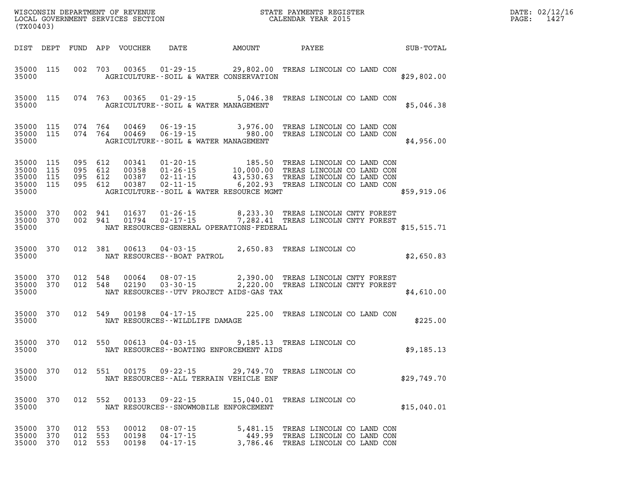| DATE: | 02/12/16 |
|-------|----------|
| PAGE: | 1427     |

| (TX00403)                   |            |                               |         |                         |                                                                                                                                                                                                                                                                                   |  |  |                                                                                                              | DATE: 02/12/1<br>PAGE:<br>1427 |  |
|-----------------------------|------------|-------------------------------|---------|-------------------------|-----------------------------------------------------------------------------------------------------------------------------------------------------------------------------------------------------------------------------------------------------------------------------------|--|--|--------------------------------------------------------------------------------------------------------------|--------------------------------|--|
|                             |            |                               |         |                         | DIST DEPT FUND APP VOUCHER DATE AMOUNT PAYEE PATE SUB-TOTAL                                                                                                                                                                                                                       |  |  |                                                                                                              |                                |  |
|                             |            |                               |         |                         | 35000 115 002 703 00365 01-29-15 29,802.00 TREAS LINCOLN CO LAND CON<br>35000 <b>AGRICULTURE--SOIL &amp; WATER CONSERVATION</b>                                                                                                                                                   |  |  |                                                                                                              | \$29,802.00                    |  |
|                             |            |                               |         |                         | 35000 115 074 763 00365 01-29-15 5,046.38 TREAS LINCOLN CO LAND CON<br>35000 AGRICULTURE - - SOIL & WATER MANAGEMENT                                                                                                                                                              |  |  |                                                                                                              | \$5,046.38                     |  |
|                             |            |                               |         |                         | 35000 115 074 764 00469 06-19-15 3,976.00 TREAS LINCOLN CO LAND CON 35000 115 074 764 00469 06-19-15 980.00 TREAS LINCOLN CO LAND CON<br>35000 AGRICULTURE--SOIL & WATER MANAGEMENT                                                                                               |  |  |                                                                                                              | \$4,956.00                     |  |
| 35000                       |            |                               |         |                         | 35000 115 095 612 00341 01-20-15 185.50 TREAS LINCOLN CO LAND CON<br>35000 115 095 612 00358 01-26-15 10,000.00 TREAS LINCOLN CO LAND CON<br>35000 115 095 612 00387 02-11-15 43,530.63 TREAS LINCOLN CO LAND CON<br>35000 115 095 612<br>AGRICULTURE--SOIL & WATER RESOURCE MGMT |  |  |                                                                                                              | \$59,919.06                    |  |
| 35000                       |            |                               |         |                         | 35000 370 002 941 01637 01-26-15 8,233.30 TREAS LINCOLN CNTY FOREST<br>35000 370 002 941 01794 02-17-15 7,282.41 TREAS LINCOLN CNTY FOREST<br>NAT RESOURCES-GENERAL OPERATIONS-FEDERAL (\$15,515.71                                                                               |  |  |                                                                                                              |                                |  |
|                             |            |                               |         |                         | 35000 370 012 381 00613 04-03-15 2,650.83 TREAS LINCOLN CO 35000 NAT RESOURCES--BOAT PATROL                                                                                                                                                                                       |  |  |                                                                                                              | \$2,650.83                     |  |
| 35000                       |            |                               |         |                         | 35000 370 012 548 00064 08-07-15 2,390.00 TREAS LINCOLN CNTY FOREST<br>35000 370 012 548 02190 03-30-15 2,220.00 TREAS LINCOLN CNTY FOREST<br>NAT RESOURCES--UTV PROJECT AIDS-GAS TAX                                                                                             |  |  |                                                                                                              | \$4,610.00                     |  |
|                             |            |                               |         |                         | 35000 370 012 549 00198 04-17-15 225.00 TREAS LINCOLN CO LAND CON<br>35000 NAT RESOURCES - WILDLIFE DAMAGE                                                                                                                                                                        |  |  |                                                                                                              | \$225.00                       |  |
|                             |            |                               |         |                         | 35000 370 012 550 00613 04-03-15 9,185.13 TREAS LINCOLN CO<br>35000 NAT RESOURCES--BOATING ENFORCEMENT AIDS                                                                                                                                                                       |  |  |                                                                                                              | \$9,185.13                     |  |
| 35000 370<br>35000          |            |                               | 012 551 | 00175                   | 09-22-15 29,749.70 TREAS LINCOLN CO<br>NAT RESOURCES--ALL TERRAIN VEHICLE ENF                                                                                                                                                                                                     |  |  |                                                                                                              | \$29,749.70                    |  |
| 35000 370<br>35000          |            |                               | 012 552 | 00133                   | 09-22-15 15,040.01 TREAS LINCOLN CO<br>NAT RESOURCES - - SNOWMOBILE ENFORCEMENT                                                                                                                                                                                                   |  |  |                                                                                                              | \$15,040.01                    |  |
| 35000<br>35000<br>35000 370 | 370<br>370 | 012 553<br>012 553<br>012 553 |         | 00012<br>00198<br>00198 | $08 - 07 - 15$<br>$04 - 17 - 15$<br>$04 - 17 - 15$                                                                                                                                                                                                                                |  |  | 5,481.15 TREAS LINCOLN CO LAND CON<br>449.99 TREAS LINCOLN CO LAND CON<br>3,786.46 TREAS LINCOLN CO LAND CON |                                |  |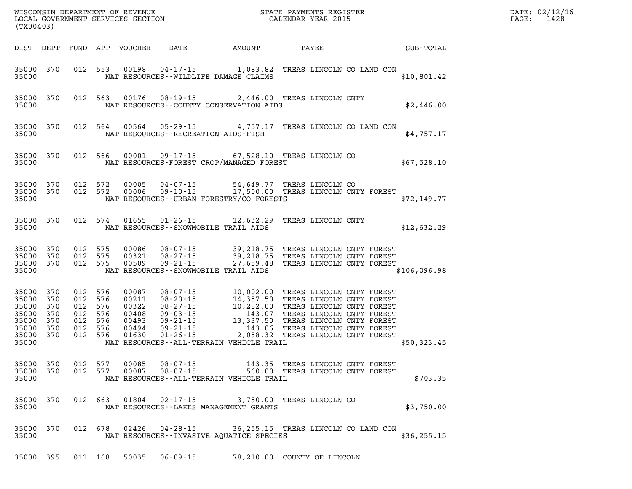| (TX00403)                                                                           |                                                                                 |     |                                                             |                        | WISCONSIN DEPARTMENT OF REVENUE<br>LOCAL GOVERNMENT SERVICES SECTION<br>CALENDAR YEAR 2015                                                                                                                                                                                             |                                  |              | DATE: 02/12/16<br>PAGE:<br>1428 |
|-------------------------------------------------------------------------------------|---------------------------------------------------------------------------------|-----|-------------------------------------------------------------|------------------------|----------------------------------------------------------------------------------------------------------------------------------------------------------------------------------------------------------------------------------------------------------------------------------------|----------------------------------|--------------|---------------------------------|
| DIST DEPT                                                                           |                                                                                 |     |                                                             |                        |                                                                                                                                                                                                                                                                                        |                                  |              |                                 |
| 35000 370<br>35000                                                                  |                                                                                 |     |                                                             |                        | 012 553 00198 04-17-15 1,083.82 TREAS LINCOLN CO LAND CON<br>NAT RESOURCES--WILDLIFE DAMAGE CLAIMS                                                                                                                                                                                     |                                  | \$10,801.42  |                                 |
| 35000 370<br>35000                                                                  |                                                                                 |     |                                                             |                        | 012 563 00176 08-19-15 2,446.00 TREAS LINCOLN CNTY<br>NAT RESOURCES - COUNTY CONSERVATION AIDS                                                                                                                                                                                         |                                  | \$2,446.00   |                                 |
| 35000 370<br>35000                                                                  |                                                                                 |     |                                                             |                        | 012 564 00564 05-29-15 4,757.17 TREAS LINCOLN CO LAND CON<br>NAT RESOURCES - - RECREATION AIDS - FISH                                                                                                                                                                                  |                                  | \$4,757.17   |                                 |
| 35000                                                                               |                                                                                 |     |                                                             |                        | 35000 370 012 566 00001 09-17-15 67,528.10 TREAS LINCOLN CO<br>NAT RESOURCES-FOREST CROP/MANAGED FOREST                                                                                                                                                                                |                                  | \$67,528.10  |                                 |
|                                                                                     | 35000 370 012 572                                                               |     | 00005<br>35000 370 012 572 00006                            |                        | 04-07-15 54,649.77 TREAS LINCOLN CO<br>09-10-15 17,500.00 TREAS LINCOLN CNTY FOREST<br>35000 NAT RESOURCES--URBAN FORESTRY/CO FORESTS                                                                                                                                                  |                                  | \$72,149.77  |                                 |
| 35000 370                                                                           |                                                                                 |     |                                                             |                        | 012 574 01655 01-26-15 12,632.29 TREAS LINCOLN CNTY<br>35000 NAT RESOURCES - SNOWMOBILE TRAIL AIDS                                                                                                                                                                                     |                                  | \$12,632.29  |                                 |
| 35000 370<br>35000 370<br>35000 370<br>35000                                        | 012 575<br>012 575<br>012 575                                                   |     | 00086<br>00321<br>00509                                     |                        | NAT RESOURCES - SNOWMOBILE TRAIL AIDS                                                                                                                                                                                                                                                  |                                  | \$106,096.98 |                                 |
| 35000 370<br>35000 370<br>35000 370<br>35000 370<br>35000 370<br>35000 370<br>35000 | 012 576<br>012 576<br>012<br>012 576<br>012 576<br>012 576<br>35000 370 012 576 | 576 | 00087<br>00211<br>00322<br>00408<br>00493<br>00494<br>01630 |                        | 08-07-15<br>08-20-15<br>08-20-15<br>14,357.50 TREAS LINCOLN CNTY FOREST<br>08-27-15<br>10,282.00 TREAS LINCOLN CNTY FOREST<br>09-03-15<br>143.07 TREAS LINCOLN CNTY FOREST<br>09-21-15<br>143.06 TREAS LINCOLN CNTY FOREST<br>09-21-15<br><br>NAT RESOURCES--ALL-TERRAIN VEHICLE TRAIL |                                  | \$50,323.45  |                                 |
| 35000 370<br>35000                                                                  |                                                                                 |     |                                                             | 012 577 00087 08-07-15 | 35000 370 012 577 00085 08-07-15 143.35 TREAS LINCOLN CNTY FOREST<br>NAT RESOURCES--ALL-TERRAIN VEHICLE TRAIL                                                                                                                                                                          | 560.00 TREAS LINCOLN CNTY FOREST | \$703.35     |                                 |
| 35000 370<br>35000                                                                  |                                                                                 |     |                                                             |                        | 012 663 01804 02-17-15 3,750.00 TREAS LINCOLN CO<br>NAT RESOURCES - - LAKES MANAGEMENT GRANTS                                                                                                                                                                                          |                                  | \$3,750.00   |                                 |
| 35000 370<br>35000                                                                  |                                                                                 |     |                                                             |                        | 012 678 02426 04-28-15 36,255.15 TREAS LINCOLN CO LAND CON<br>NAT RESOURCES--INVASIVE AQUATICE SPECIES                                                                                                                                                                                 |                                  | \$36, 255.15 |                                 |
|                                                                                     |                                                                                 |     |                                                             |                        | 35000 395 011 168 50035 06-09-15 78,210.00 COUNTY OF LINCOLN                                                                                                                                                                                                                           |                                  |              |                                 |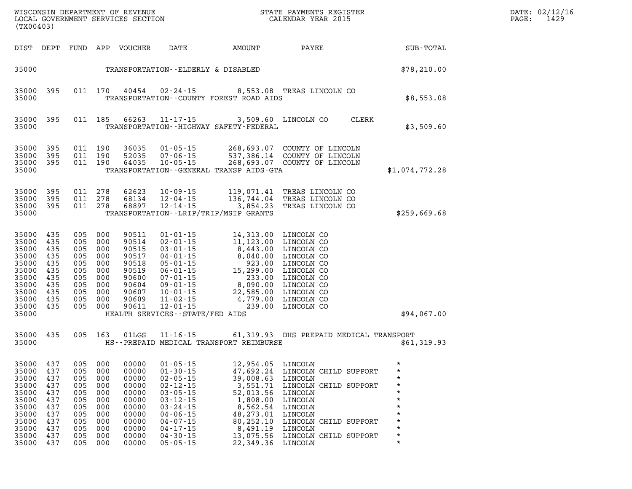| (TX00403)                                                                                                        |                                                                           |                                                                           |                                                                                                           |                                                                                                          |                                                                                                                                                                                                                      |                                                                                                                                                                                                                                                                          |                                                                                                                                                                                       | PAGE: | DATE: 02/12/16<br>1429                    |  |  |
|------------------------------------------------------------------------------------------------------------------|---------------------------------------------------------------------------|---------------------------------------------------------------------------|-----------------------------------------------------------------------------------------------------------|----------------------------------------------------------------------------------------------------------|----------------------------------------------------------------------------------------------------------------------------------------------------------------------------------------------------------------------|--------------------------------------------------------------------------------------------------------------------------------------------------------------------------------------------------------------------------------------------------------------------------|---------------------------------------------------------------------------------------------------------------------------------------------------------------------------------------|-------|-------------------------------------------|--|--|
|                                                                                                                  |                                                                           |                                                                           |                                                                                                           | DIST DEPT FUND APP VOUCHER                                                                               | DATE                                                                                                                                                                                                                 | AMOUNT                                                                                                                                                                                                                                                                   | <b>PAYEE</b>                                                                                                                                                                          |       | SUB-TOTAL                                 |  |  |
| 35000                                                                                                            |                                                                           |                                                                           |                                                                                                           |                                                                                                          | TRANSPORTATION--ELDERLY & DISABLED                                                                                                                                                                                   |                                                                                                                                                                                                                                                                          |                                                                                                                                                                                       |       | \$78, 210.00                              |  |  |
| 35000 395<br>35000                                                                                               |                                                                           |                                                                           | 011 170                                                                                                   |                                                                                                          |                                                                                                                                                                                                                      | 40454  02-24-15  8,553.08  TREAS LINCOLN CO<br>TRANSPORTATION--COUNTY FOREST ROAD AIDS                                                                                                                                                                                   |                                                                                                                                                                                       |       | \$8,553.08                                |  |  |
| 35000 395<br>35000                                                                                               |                                                                           |                                                                           | 011 185                                                                                                   |                                                                                                          |                                                                                                                                                                                                                      | 66263 11-17-15 3,509.60 LINCOLN CO CLERK<br>TRANSPORTATION - - HIGHWAY SAFETY - FEDERAL                                                                                                                                                                                  |                                                                                                                                                                                       |       | \$3,509.60                                |  |  |
| 35000 395<br>35000<br>35000<br>35000                                                                             | 395<br>395                                                                | 011 190                                                                   | 011 190<br>011 190                                                                                        |                                                                                                          |                                                                                                                                                                                                                      | 36035  01-05-15  268,693.07  COUNTY OF LINCOLN<br>52035  07-06-15  537,386.14  COUNTY OF LINCOLN<br>64035  10-05-15  268,693.07  COUNTY OF LINCOLN<br>TRANSPORTATION - - GENERAL TRANSP AIDS - GTA                                                                       |                                                                                                                                                                                       |       | \$1,074,772.28                            |  |  |
| 35000<br>35000<br>35000 395<br>35000                                                                             | - 395<br>395                                                              | 011 278                                                                   | 011 278<br>011 278                                                                                        | 62623<br>68134<br>68897                                                                                  |                                                                                                                                                                                                                      | 10-09-15 119,071.41 TREAS LINCOLN CO<br>12-04-15 136,744.04 TREAS LINCOLN CO<br>12-14-15 3,854.23 TREAS LINCOLN CO<br>TRANSPORTATION - - LRIP/TRIP/MSIP GRANTS                                                                                                           |                                                                                                                                                                                       |       | \$259,669.68                              |  |  |
| 35000 435<br>35000<br>35000<br>35000<br>35000<br>35000<br>35000<br>35000<br>35000<br>35000<br>35000 435<br>35000 | 435<br>435<br>435<br>435<br>-435<br>435<br>-435<br>435<br>435             | 005<br>005<br>005                                                         | 005 000<br>005 000<br>000<br>005 000<br>000<br>005 000<br>005 000<br>005 000<br>000<br>005 000<br>005 000 | 90511<br>90514<br>90515<br>90517<br>90518<br>90519<br>90600<br>90604<br>90607<br>90609<br>90611          | HEALTH SERVICES -- STATE/FED AIDS                                                                                                                                                                                    | 01-01-15<br>02-01-15<br>03-01-15<br>03-01-15<br>04-01-15<br>05-01-15<br>06-01-15<br>06-01-15<br>07-01-15<br>09-01-15<br>09-01-15<br>09-01-15<br>09-01-15<br>08.090.00<br>01NCOLN CO<br>09-01-15<br>09-01-15<br>22,585.00<br>LINCOLN CO<br>10-01-15<br>22,585.00<br>LINCO |                                                                                                                                                                                       |       | \$94,067.00                               |  |  |
| 35000 435<br>35000                                                                                               |                                                                           |                                                                           | 005 163                                                                                                   | 01LGS                                                                                                    |                                                                                                                                                                                                                      | 11-16-15 61,319.93 DHS PREPAID MEDICAL TRANSPORT<br>HS--PREPAID MEDICAL TRANSPORT REIMBURSE                                                                                                                                                                              |                                                                                                                                                                                       |       | \$61,319.93                               |  |  |
| 35000 437<br>35000<br>35000<br>35000<br>35000<br>35000<br>35000<br>35000<br>35000<br>35000<br>35000<br>35000     | 437<br>437<br>437<br>437<br>437<br>437<br>437<br>437<br>437<br>437<br>437 | 005<br>005<br>005<br>005<br>005<br>005<br>005<br>005<br>005<br>005<br>005 | 005 000<br>000<br>000<br>000<br>000<br>000<br>000<br>000<br>000<br>000<br>000<br>000                      | 00000<br>00000<br>00000<br>00000<br>00000<br>00000<br>00000<br>00000<br>00000<br>00000<br>00000<br>00000 | $01 - 05 - 15$<br>$01 - 30 - 15$<br>$02 - 05 - 15$<br>$02 - 12 - 15$<br>$03 - 05 - 15$<br>$03 - 12 - 15$<br>$03 - 24 - 15$<br>$04 - 06 - 15$<br>$04 - 07 - 15$<br>$04 - 17 - 15$<br>$04 - 30 - 15$<br>$05 - 05 - 15$ | 12,954.05 LINCOLN<br>39,008.63<br>52,013.56<br>1,808.00<br>8,562.54<br>48,273.01<br>80,252.10<br>8,491.19<br>13,075.56<br>22,349.36 LINCOLN                                                                                                                              | 47,692.24 LINCOLN CHILD SUPPORT<br>LINCOLN<br>3,551.71 LINCOLN CHILD SUPPORT<br>LINCOLN<br>LINCOLN<br>LINCOLN<br>LINCOLN<br>LINCOLN CHILD SUPPORT<br>LINCOLN<br>LINCOLN CHILD SUPPORT |       | $\star$<br>$^\star$<br>$\star$<br>$\star$ |  |  |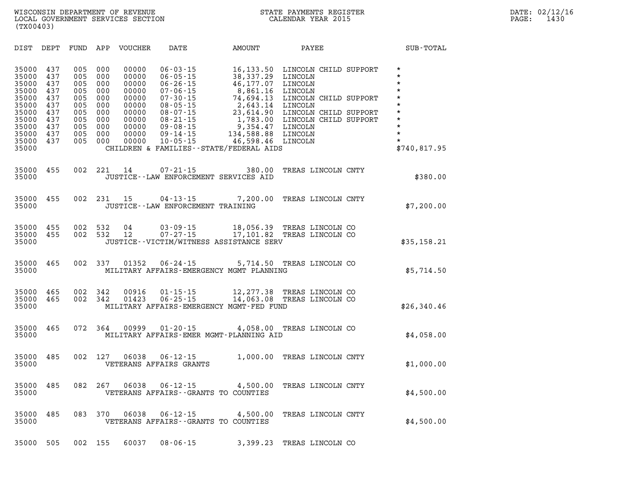**(TX00403)** 

| DIST                                                                                                     | DEPT                                                                      | FUND                                                                      | APP                                                                       | <b>VOUCHER</b>                                                                                  | DATE                                                                                                                                                                                               | <b>AMOUNT</b>                                                                                                                                                                        | PAYEE                                                                                                                                                                         | SUB-TOTAL                                                                                                                             |
|----------------------------------------------------------------------------------------------------------|---------------------------------------------------------------------------|---------------------------------------------------------------------------|---------------------------------------------------------------------------|-------------------------------------------------------------------------------------------------|----------------------------------------------------------------------------------------------------------------------------------------------------------------------------------------------------|--------------------------------------------------------------------------------------------------------------------------------------------------------------------------------------|-------------------------------------------------------------------------------------------------------------------------------------------------------------------------------|---------------------------------------------------------------------------------------------------------------------------------------|
| 35000<br>35000<br>35000<br>35000<br>35000<br>35000<br>35000<br>35000<br>35000<br>35000<br>35000<br>35000 | 437<br>437<br>437<br>437<br>437<br>437<br>437<br>437<br>437<br>437<br>437 | 005<br>005<br>005<br>005<br>005<br>005<br>005<br>005<br>005<br>005<br>005 | 000<br>000<br>000<br>000<br>000<br>000<br>000<br>000<br>000<br>000<br>000 | 00000<br>00000<br>00000<br>00000<br>00000<br>00000<br>00000<br>00000<br>00000<br>00000<br>00000 | $06 - 03 - 15$<br>$06 - 05 - 15$<br>$06 - 26 - 15$<br>$07 - 06 - 15$<br>$07 - 30 - 15$<br>$08 - 05 - 15$<br>$08 - 07 - 15$<br>$08 - 21 - 15$<br>$09 - 08 - 15$<br>$09 - 14 - 15$<br>$10 - 05 - 15$ | 16, 133.50<br>38,337.29<br>46,177.07<br>8,861.16<br>74,694.13<br>2,643.14<br>23,614.90<br>1,783.00<br>9,354.47<br>134,588.88<br>46,598.46<br>CHILDREN & FAMILIES--STATE/FEDERAL AIDS | LINCOLN CHILD SUPPORT<br>LINCOLN<br>LINCOLN<br>LINCOLN<br>LINCOLN CHILD SUPPORT<br>LINCOLN<br>LINCOLN CHILD SUPPORT<br>LINCOLN CHILD SUPPORT<br>LINCOLN<br>LINCOLN<br>LINCOLN | $\star$<br>$\star$<br>$\star$<br>$\star$<br>$\star$<br>$\star$<br>$\star$<br>$\star$<br>$\star$<br>$\star$<br>$\star$<br>\$740,817.95 |
| 35000<br>35000                                                                                           | 455                                                                       | 002                                                                       | 221                                                                       | 14                                                                                              | $07 - 21 - 15$                                                                                                                                                                                     | 380.00<br>JUSTICE -- LAW ENFORCEMENT SERVICES AID                                                                                                                                    | TREAS LINCOLN CNTY                                                                                                                                                            | \$380.00                                                                                                                              |
| 35000<br>35000                                                                                           | 455                                                                       | 002                                                                       | 231                                                                       | 15                                                                                              | $04 - 13 - 15$<br>JUSTICE - - LAW ENFORCEMENT TRAINING                                                                                                                                             | 7,200.00                                                                                                                                                                             | TREAS LINCOLN CNTY                                                                                                                                                            | \$7,200.00                                                                                                                            |
| 35000<br>35000<br>35000                                                                                  | 455<br>455                                                                | 002<br>002                                                                | 532<br>532                                                                | 04<br>12                                                                                        | $03 - 09 - 15$<br>$07 - 27 - 15$                                                                                                                                                                   | 18,056.39<br>17,101.82<br>JUSTICE -- VICTIM/WITNESS ASSISTANCE SERV                                                                                                                  | TREAS LINCOLN CO<br>TREAS LINCOLN CO                                                                                                                                          | \$35,158.21                                                                                                                           |
| 35000<br>35000                                                                                           | 465                                                                       | 002                                                                       | 337                                                                       | 01352                                                                                           | $06 - 24 - 15$                                                                                                                                                                                     | 5,714.50<br>MILITARY AFFAIRS-EMERGENCY MGMT PLANNING                                                                                                                                 | TREAS LINCOLN CO                                                                                                                                                              | \$5,714.50                                                                                                                            |
| 35000<br>35000<br>35000                                                                                  | 465<br>465                                                                | 002<br>002                                                                | 342<br>342                                                                | 00916<br>01423                                                                                  | $01 - 15 - 15$<br>$06 - 25 - 15$                                                                                                                                                                   | 12,277.38<br>14,063.08<br>MILITARY AFFAIRS-EMERGENCY MGMT-FED FUND                                                                                                                   | TREAS LINCOLN CO<br>TREAS LINCOLN CO                                                                                                                                          | \$26,340.46                                                                                                                           |
| 35000<br>35000                                                                                           | 465                                                                       | 072                                                                       | 364                                                                       | 00999                                                                                           | $01 - 20 - 15$                                                                                                                                                                                     | 4,058.00<br>MILITARY AFFAIRS-EMER MGMT-PLANNING AID                                                                                                                                  | TREAS LINCOLN CO                                                                                                                                                              | \$4,058.00                                                                                                                            |
| 35000<br>35000                                                                                           | 485                                                                       | 002                                                                       | 127                                                                       | 06038                                                                                           | $06 - 12 - 15$<br>VETERANS AFFAIRS GRANTS                                                                                                                                                          | 1,000.00                                                                                                                                                                             | TREAS LINCOLN CNTY                                                                                                                                                            | \$1,000.00                                                                                                                            |
| 35000<br>35000                                                                                           | 485                                                                       | 082                                                                       | 267                                                                       | 06038                                                                                           | $06 - 12 - 15$<br>VETERANS AFFAIRS - - GRANTS TO COUNTIES                                                                                                                                          | 4,500.00                                                                                                                                                                             | TREAS LINCOLN CNTY                                                                                                                                                            | \$4,500.00                                                                                                                            |
| 35000<br>35000                                                                                           | 485                                                                       | 083                                                                       | 370                                                                       | 06038                                                                                           | $06 - 12 - 15$<br>VETERANS AFFAIRS -- GRANTS TO COUNTIES                                                                                                                                           | 4,500.00                                                                                                                                                                             | TREAS LINCOLN CNTY                                                                                                                                                            | \$4,500.00                                                                                                                            |
| 35000                                                                                                    | 505                                                                       | 002                                                                       | 155                                                                       | 60037                                                                                           | $08 - 06 - 15$                                                                                                                                                                                     | 3,399.23                                                                                                                                                                             | TREAS LINCOLN CO                                                                                                                                                              |                                                                                                                                       |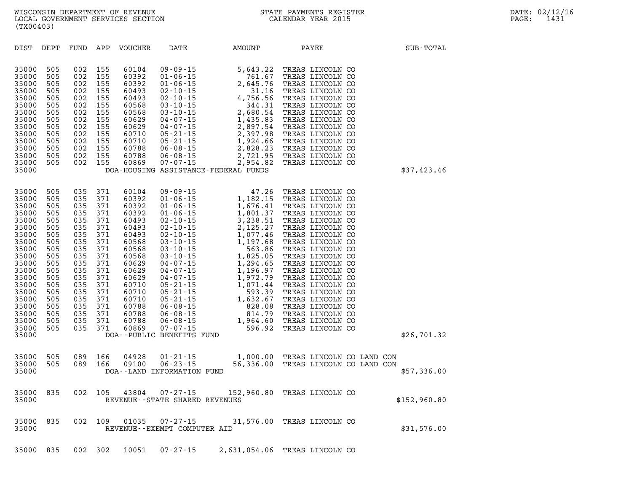| DIST                                                                                                                                                                                      | DEPT                                                                                                                                     | FUND                                                                                                                                     | APP                                                                                                                                      | <b>VOUCHER</b>                                                                                                             | DATE                                                                                                                                         | AMOUNT                                                                                                                                                                                                                                                                                                                                                                                                                            | PAYEE                                                                                                                                                                                                                                                                                                                                                                                                        | SUB-TOTAL    |
|-------------------------------------------------------------------------------------------------------------------------------------------------------------------------------------------|------------------------------------------------------------------------------------------------------------------------------------------|------------------------------------------------------------------------------------------------------------------------------------------|------------------------------------------------------------------------------------------------------------------------------------------|----------------------------------------------------------------------------------------------------------------------------|----------------------------------------------------------------------------------------------------------------------------------------------|-----------------------------------------------------------------------------------------------------------------------------------------------------------------------------------------------------------------------------------------------------------------------------------------------------------------------------------------------------------------------------------------------------------------------------------|--------------------------------------------------------------------------------------------------------------------------------------------------------------------------------------------------------------------------------------------------------------------------------------------------------------------------------------------------------------------------------------------------------------|--------------|
| 35000<br>35000<br>35000<br>35000<br>35000<br>35000<br>35000<br>35000<br>35000<br>35000<br>35000<br>35000<br>35000<br>35000<br>35000                                                       | 505<br>505<br>505<br>505<br>505<br>505<br>505<br>505<br>505<br>505<br>505<br>505<br>505<br>505                                           | 002<br>002<br>002<br>002<br>002<br>002<br>002<br>002<br>002<br>002<br>002<br>002<br>002<br>002                                           | 155<br>155<br>155<br>155<br>155<br>155<br>155<br>155<br>155<br>155<br>155<br>155<br>155<br>155                                           | 60104<br>60392<br>60392<br>60493<br>60493<br>60568<br>60568<br>60629<br>60629<br>60710<br>60710<br>60788<br>60788<br>60869 | $09 - 09 - 15$<br>$01 - 06 - 15$<br>$01 - 06 - 15$<br>$05 - 21 - 15$<br>$05 - 21 - 15$<br>$06 - 08 - 15$<br>$06 - 08 - 15$<br>$07 - 07 - 15$ | $5,643.22$<br>761.67<br>2,645.76<br>31.16<br>02-10-15<br>02-10-15<br>03-10-15<br>03-10-15<br>03-10-15<br>04-07-15<br>04-07-15<br>05-21-15<br>05-21-15<br>07-15<br>07-15<br>07-15<br>07-15<br>07-15<br>07-15<br>07-15<br>07-15<br>07-15<br>07-15<br>07-15<br>07-15<br>07-07-15<br>07-07-15<br>07-07-15<br>07-07-15<br>07-07-15<br>2,397.98<br>1,924.66<br>2,828.23<br>2,721.95<br>2,954.82<br>DOA-HOUSING ASSISTANCE-FEDERAL FUNDS | TREAS LINCOLN CO<br>TREAS LINCOLN CO<br>TREAS LINCOLN CO<br>TREAS LINCOLN CO<br>TREAS LINCOLN CO<br>TREAS LINCOLN CO<br>TREAS LINCOLN CO<br>TREAS LINCOLN CO<br>TREAS LINCOLN CO<br>TREAS LINCOLN CO<br>TREAS LINCOLN CO<br>TREAS LINCOLN CO<br>TREAS LINCOLN CO<br>TREAS LINCOLN CO                                                                                                                         | \$37,423.46  |
| 35000<br>35000<br>35000<br>35000<br>35000<br>35000<br>35000<br>35000<br>35000<br>35000<br>35000<br>35000<br>35000<br>35000<br>35000<br>35000<br>35000<br>35000<br>35000<br>35000<br>35000 | 505<br>505<br>505<br>505<br>505<br>505<br>505<br>505<br>505<br>505<br>505<br>505<br>505<br>505<br>505<br>505<br>505<br>505<br>505<br>505 | 035<br>035<br>035<br>035<br>035<br>035<br>035<br>035<br>035<br>035<br>035<br>035<br>035<br>035<br>035<br>035<br>035<br>035<br>035<br>035 | 371<br>371<br>371<br>371<br>371<br>371<br>371<br>371<br>371<br>371<br>371<br>371<br>371<br>371<br>371<br>371<br>371<br>371<br>371<br>371 |                                                                                                                            | DOA--PUBLIC BENEFITS FUND                                                                                                                    |                                                                                                                                                                                                                                                                                                                                                                                                                                   | TREAS LINCOLN CO<br>TREAS LINCOLN CO<br>TREAS LINCOLN CO<br>TREAS LINCOLN CO<br>TREAS LINCOLN CO<br>TREAS LINCOLN CO<br>TREAS LINCOLN CO<br>TREAS LINCOLN CO<br>TREAS LINCOLN CO<br>TREAS LINCOLN CO<br>TREAS LINCOLN CO<br>TREAS LINCOLN CO<br>TREAS LINCOLN CO<br>TREAS LINCOLN CO<br>TREAS LINCOLN CO<br>TREAS LINCOLN CO<br>TREAS LINCOLN CO<br>TREAS LINCOLN CO<br>TREAS LINCOLN CO<br>TREAS LINCOLN CO | \$26,701.32  |
| 35000<br>35000<br>35000                                                                                                                                                                   | 505<br>505                                                                                                                               | 089<br>089                                                                                                                               | 166<br>166                                                                                                                               | 04928<br>09100                                                                                                             | $01 - 21 - 15$<br>$06 - 23 - 15$<br>DOA--LAND INFORMATION FUND                                                                               | 1,000.00<br>56,336.00                                                                                                                                                                                                                                                                                                                                                                                                             | TREAS LINCOLN CO LAND CON<br>TREAS LINCOLN CO LAND CON                                                                                                                                                                                                                                                                                                                                                       | \$57,336.00  |
| 35000<br>35000                                                                                                                                                                            | 835                                                                                                                                      | 002                                                                                                                                      | 105                                                                                                                                      | 43804                                                                                                                      | $07 - 27 - 15$<br>REVENUE - - STATE SHARED REVENUES                                                                                          | 152,960.80                                                                                                                                                                                                                                                                                                                                                                                                                        | TREAS LINCOLN CO                                                                                                                                                                                                                                                                                                                                                                                             | \$152,960.80 |
| 35000<br>35000                                                                                                                                                                            | 835                                                                                                                                      | 002                                                                                                                                      | 109                                                                                                                                      | 01035                                                                                                                      | $07 - 27 - 15$<br>REVENUE--EXEMPT COMPUTER AID                                                                                               | 31,576.00                                                                                                                                                                                                                                                                                                                                                                                                                         | TREAS LINCOLN CO                                                                                                                                                                                                                                                                                                                                                                                             | \$31,576.00  |

**35000 835 002 302 10051 07-27-15 2,631,054.06 TREAS LINCOLN CO**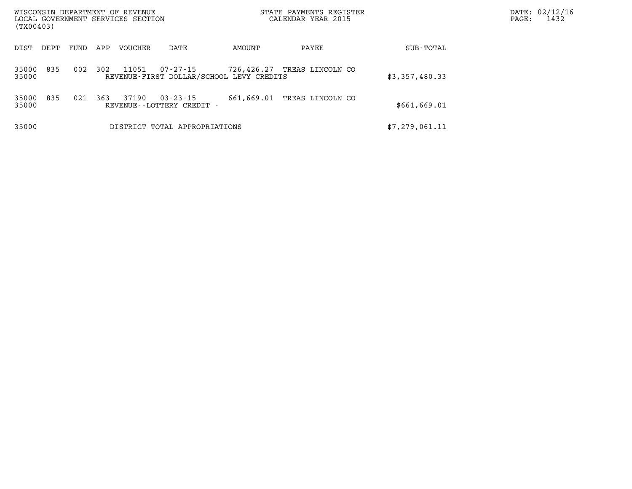| WISCONSIN DEPARTMENT OF REVENUE<br>LOCAL GOVERNMENT SERVICES SECTION<br>(TX00403) |      |      |     |         |                                                |                                                        | STATE PAYMENTS REGISTER<br>CALENDAR YEAR 2015 |                | PAGE: | DATE: 02/12/16<br>1432 |
|-----------------------------------------------------------------------------------|------|------|-----|---------|------------------------------------------------|--------------------------------------------------------|-----------------------------------------------|----------------|-------|------------------------|
| DIST                                                                              | DEPT | FUND | APP | VOUCHER | DATE                                           | AMOUNT                                                 | PAYEE                                         | SUB-TOTAL      |       |                        |
| 35000<br>35000                                                                    | 835  | 002  | 302 | 11051   | 07-27-15                                       | 726,426.27<br>REVENUE-FIRST DOLLAR/SCHOOL LEVY CREDITS | TREAS LINCOLN CO                              | \$3,357,480.33 |       |                        |
| 35000<br>35000                                                                    | 835  | 021  | 363 | 37190   | $03 - 23 - 15$<br>REVENUE - - LOTTERY CREDIT - | 661,669.01                                             | TREAS LINCOLN CO                              | \$661,669.01   |       |                        |
| 35000                                                                             |      |      |     |         | DISTRICT TOTAL APPROPRIATIONS                  |                                                        |                                               | \$7,279,061.11 |       |                        |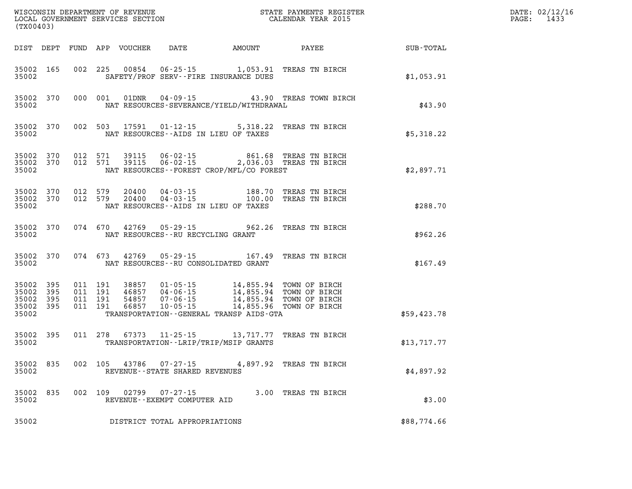| (TX00403)                                |                        |                               |       |                                                | $\mathbb{R}^n$                                                                                                                                                                                                                                                         |                     |             | DATE: 02/12/16<br>PAGE: 1433 |
|------------------------------------------|------------------------|-------------------------------|-------|------------------------------------------------|------------------------------------------------------------------------------------------------------------------------------------------------------------------------------------------------------------------------------------------------------------------------|---------------------|-------------|------------------------------|
|                                          |                        |                               |       |                                                | DIST DEPT FUND APP VOUCHER DATE AMOUNT PAYEE                                                                                                                                                                                                                           |                     | SUB-TOTAL   |                              |
| 35002                                    | 35002 165              |                               |       |                                                | 002 225 00854 06-25-15 1,053.91 TREAS TN BIRCH<br>SAFETY/PROF SERV--FIRE INSURANCE DUES                                                                                                                                                                                |                     | \$1,053.91  |                              |
| 35002                                    |                        |                               |       |                                                | 35002 370 000 001 01DNR 04-09-15 43.90 TREAS TOWN BIRCH<br>NAT RESOURCES-SEVERANCE/YIELD/WITHDRAWAL                                                                                                                                                                    |                     | \$43.90     |                              |
| 35002                                    |                        |                               |       |                                                | 35002 370 002 503 17591 01-12-15 5,318.22 TREAS TN BIRCH<br>NAT RESOURCES--AIDS IN LIEU OF TAXES                                                                                                                                                                       |                     | \$5,318.22  |                              |
| 35002                                    |                        |                               |       |                                                | $35002$ 370 012 571 39115 06-02-15 861.68 TREAS TN BIRCH<br>35002 370 012 571 39115 06-02-15 2,036.03 TREAS TN BIRCH<br>NAT RESOURCES--FOREST CROP/MFL/CO FOREST                                                                                                       |                     | \$2,897.71  |                              |
| 35002                                    |                        |                               |       |                                                | $\begin{array}{cccccc} 35002 & 370 & 012 & 579 & 20400 & 04\cdot 03\cdot 15 & & & & 188.70 & \text{TREAS TN BIRCH} \\ 35002 & 370 & 012 & 579 & 20400 & 04\cdot 03\cdot 15 & & & & 100.00 & \text{TREAS TN BIRCH} \end{array}$<br>NAT RESOURCES--AIDS IN LIEU OF TAXES |                     | \$288.70    |                              |
| 35002                                    |                        |                               |       | NAT RESOURCES--RU RECYCLING GRANT              | 35002 370 074 670 42769 05-29-15 962.26 TREAS TN BIRCH                                                                                                                                                                                                                 |                     | \$962.26    |                              |
| 35002                                    |                        |                               |       |                                                | 35002 370 074 673 42769 05-29-15 167.49 TREAS TN BIRCH<br>NAT RESOURCES--RU CONSOLIDATED GRANT                                                                                                                                                                         |                     | \$167.49    |                              |
| 35002<br>35002 395<br>35002 395<br>35002 | 35002 395<br>395       | 011 191<br>011 191<br>011 191 |       |                                                | 011 191 38857 01-05-15 14,855.94 TOWN OF BIRCH<br>20057 04-06-15<br>54857 07-06-15 14,855.94 TOWN OF BIRCH<br>54857 07-06-15 14,855.94 TOWN OF BIRCH<br>TRANSPORTATION--GENERAL TRANSP AIDS-GTA                                                                        |                     | \$59,423.78 |                              |
|                                          | 35002 395<br>35002 200 |                               |       |                                                | 011 278 67373 11-25-15 13,717.77 TREAS TN BIRCH<br>TRANSPORTATION - - LRIP/TRIP/MSIP GRANTS                                                                                                                                                                            |                     | \$13,717.77 |                              |
| 35002                                    |                        |                               |       | REVENUE--STATE SHARED REVENUES                 | 35002 835 002 105 43786 07-27-15 4,897.92 TREAS TN BIRCH                                                                                                                                                                                                               |                     | \$4,897.92  |                              |
| 35002<br>35002                           | 835                    | 002 109                       | 02799 | $07 - 27 - 15$<br>REVENUE--EXEMPT COMPUTER AID |                                                                                                                                                                                                                                                                        | 3.00 TREAS TN BIRCH | \$3.00      |                              |
| 35002                                    |                        |                               |       | DISTRICT TOTAL APPROPRIATIONS                  |                                                                                                                                                                                                                                                                        |                     | \$88,774.66 |                              |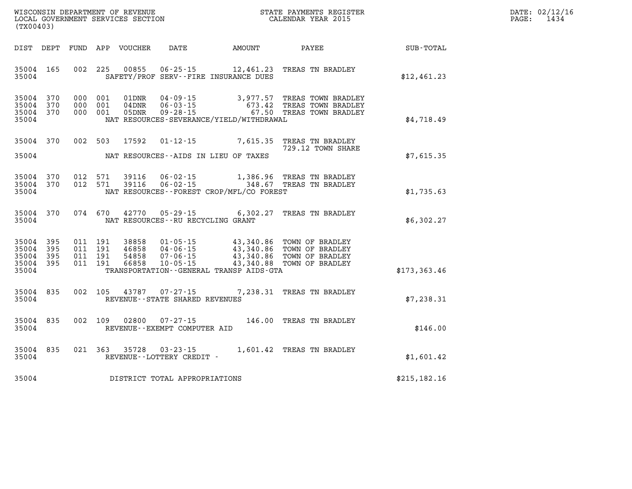| WISCONSIN DEPARTMENT OF REVENUE   | STATE PAYMENTS REGISTER | DATE: 02/12/16 |
|-----------------------------------|-------------------------|----------------|
| LOCAL GOVERNMENT SERVICES SECTION | CALENDAR YEAR 2015      | 1434<br>PAGE:  |

| (TX00403)                        |                                  |                                          | LOCAL GOVERNMENT SERVICES SECTION |                                   |                                          | CALENDAR YEAR 2015                                                                                                                                   |              | PAGE: | 1434 |
|----------------------------------|----------------------------------|------------------------------------------|-----------------------------------|-----------------------------------|------------------------------------------|------------------------------------------------------------------------------------------------------------------------------------------------------|--------------|-------|------|
|                                  | DIST DEPT                        |                                          |                                   |                                   |                                          |                                                                                                                                                      |              |       |      |
| 35004                            | 35004 165                        | 002 225                                  | 00855                             |                                   | SAFETY/PROF SERV--FIRE INSURANCE DUES    | 06-25-15 12,461.23 TREAS TN BRADLEY                                                                                                                  | \$12,461.23  |       |      |
| 35004<br>35004                   | 35004 370<br>370<br>35004 370    | 000 001<br>000 001<br>000 001            | 01DNR<br>04DNR<br>05DNR           |                                   | NAT RESOURCES-SEVERANCE/YIELD/WITHDRAWAL | 04-09-15 3,977.57 TREAS TOWN BRADLEY<br>06-03-15 673.42 TREAS TOWN BRADLEY<br>09-28-15 67.50 TREAS TOWN BRADLEY                                      | \$4,718.49   |       |      |
| 35004                            | 35004 370                        | 002 503                                  |                                   |                                   | NAT RESOURCES--AIDS IN LIEU OF TAXES     | 17592  01-12-15  7,615.35  TREAS TN BRADLEY<br>729.12 TOWN SHARE                                                                                     | \$7,615.35   |       |      |
| 35004                            | 35004 370<br>35004 370           | 012 571<br>012 571                       | 39116<br>39116                    |                                   | NAT RESOURCES--FOREST CROP/MFL/CO FOREST | 06-02-15 1,386.96 TREAS TN BRADLEY<br>06-02-15 348.67 TREAS TN BRADLEY                                                                               | \$1,735.63   |       |      |
| 35004                            | 35004 370                        |                                          |                                   | NAT RESOURCES--RU RECYCLING GRANT |                                          | 074 670 42770 05-29-15 6,302.27 TREAS TN BRADLEY                                                                                                     | \$6,302.27   |       |      |
| 35004<br>35004<br>35004<br>35004 | 35004 395<br>395<br>- 395<br>395 | 011 191<br>011 191<br>011 191<br>011 191 | 38858<br>46858<br>54858<br>66858  |                                   | TRANSPORTATION--GENERAL TRANSP AIDS-GTA  | 01-05-15 43,340.86 TOWN OF BRADLEY<br>04-06-15 43,340.86 TOWN OF BRADLEY<br>07-06-15 43,340.86 TOWN OF BRADLEY<br>10-05-15 43,340.88 TOWN OF BRADLEY | \$173,363.46 |       |      |
| 35004                            | 35004 835                        |                                          |                                   | REVENUE--STATE SHARED REVENUES    |                                          | 002 105 43787 07-27-15 7,238.31 TREAS TN BRADLEY                                                                                                     | \$7,238.31   |       |      |
| 35004                            | 35004 835                        |                                          | 002 109 02800                     | REVENUE--EXEMPT COMPUTER AID      |                                          | 07-27-15 146.00 TREAS TN BRADLEY                                                                                                                     | \$146.00     |       |      |
| 35004                            | 35004 835                        | 021 363                                  |                                   | REVENUE--LOTTERY CREDIT -         |                                          | 35728 03-23-15 1,601.42 TREAS TN BRADLEY                                                                                                             | \$1,601.42   |       |      |
| 35004                            |                                  |                                          |                                   | DISTRICT TOTAL APPROPRIATIONS     |                                          |                                                                                                                                                      | \$215,182.16 |       |      |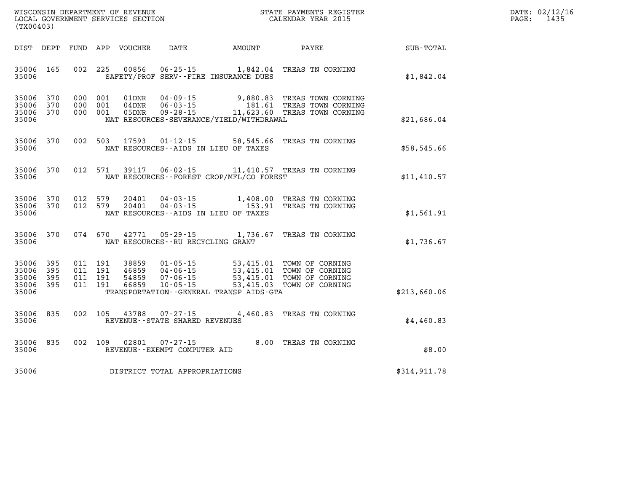| $\texttt{DATE}$ : | 02/12/16 |
|-------------------|----------|
| PAGE:             | 1435     |

| (TX00403)                                 |                          |                          |                          | WISCONSIN DEPARTMENT OF REVENUE<br>LOCAL GOVERNMENT SERVICES SECTION |                                                                      | STATE PAYMENTS REGISTER<br>CALENDAR YEAR 2015                                                    |                                                                          |                  |
|-------------------------------------------|--------------------------|--------------------------|--------------------------|----------------------------------------------------------------------|----------------------------------------------------------------------|--------------------------------------------------------------------------------------------------|--------------------------------------------------------------------------|------------------|
| DIST                                      | DEPT                     | FUND                     | APP                      | <b>VOUCHER</b>                                                       | <b>DATE</b>                                                          | <b>AMOUNT</b>                                                                                    | PAYEE                                                                    | <b>SUB-TOTAL</b> |
| 35006<br>35006                            | 165                      | 002                      | 225                      | 00856                                                                | $06 - 25 - 15$                                                       | 1,842.04<br>SAFETY/PROF SERV--FIRE INSURANCE DUES                                                | TREAS TN CORNING                                                         | \$1,842.04       |
| 35006<br>35006<br>35006<br>35006          | 370<br>370<br>370        | 000<br>000<br>000        | 001<br>001<br>001        | 01DNR<br>04DNR<br>05DNR                                              | $04 - 09 - 15$<br>$06 - 03 - 15$<br>$09 - 28 - 15$                   | 9,880.83<br>181.61<br>11,623.60<br>NAT RESOURCES-SEVERANCE/YIELD/WITHDRAWAL                      | TREAS TOWN CORNING<br>TREAS TOWN CORNING<br>TREAS TOWN CORNING           | \$21,686.04      |
| 35006<br>35006                            | 370                      | 002                      | 503                      | 17593                                                                | $01 - 12 - 15$                                                       | 58,545.66<br>NAT RESOURCES -- AIDS IN LIEU OF TAXES                                              | TREAS TN CORNING                                                         | \$58,545.66      |
| 35006<br>35006                            | 370                      | 012                      | 571                      | 39117                                                                | $06 - 02 - 15$                                                       | NAT RESOURCES - - FOREST CROP/MFL/CO FOREST                                                      | 11,410.57 TREAS TN CORNING                                               | \$11,410.57      |
| 35006<br>35006<br>35006                   | 370<br>370               | 012<br>012               | 579<br>579               | 20401<br>20401                                                       | $04 - 03 - 15$<br>$04 - 03 - 15$                                     | 1,408.00<br>153.91<br>NAT RESOURCES -- AIDS IN LIEU OF TAXES                                     | TREAS TN CORNING<br>TREAS TN CORNING                                     | \$1,561.91       |
| 35006<br>35006                            | 370                      | 074                      | 670                      | 42771                                                                | $05 - 29 - 15$<br>NAT RESOURCES - - RU RECYCLING GRANT               | 1,736.67                                                                                         | TREAS TN CORNING                                                         | \$1,736.67       |
| 35006<br>35006<br>35006<br>35006<br>35006 | 395<br>395<br>395<br>395 | 011<br>011<br>011<br>011 | 191<br>191<br>191<br>191 | 38859<br>46859<br>54859<br>66859                                     | $01 - 05 - 15$<br>$04 - 06 - 15$<br>$07 - 06 - 15$<br>$10 - 05 - 15$ | 53,415.01<br>53,415.01<br>53,415.01<br>53,415.03<br>TRANSPORTATION - - GENERAL TRANSP AIDS - GTA | TOWN OF CORNING<br>TOWN OF CORNING<br>TOWN OF CORNING<br>TOWN OF CORNING | \$213,660.06     |
| 35006<br>35006                            | 835                      | 002                      | 105                      | 43788                                                                | $07 - 27 - 15$<br>REVENUE--STATE SHARED REVENUES                     | 4,460.83                                                                                         | TREAS TN CORNING                                                         | \$4,460.83       |
| 35006<br>35006                            | 835                      | 002                      | 109                      | 02801                                                                | $07 - 27 - 15$<br>REVENUE--EXEMPT COMPUTER AID                       | 8.00                                                                                             | TREAS TN CORNING                                                         | \$8.00           |
| 35006                                     |                          |                          |                          |                                                                      | DISTRICT TOTAL APPROPRIATIONS                                        |                                                                                                  |                                                                          | \$314,911.78     |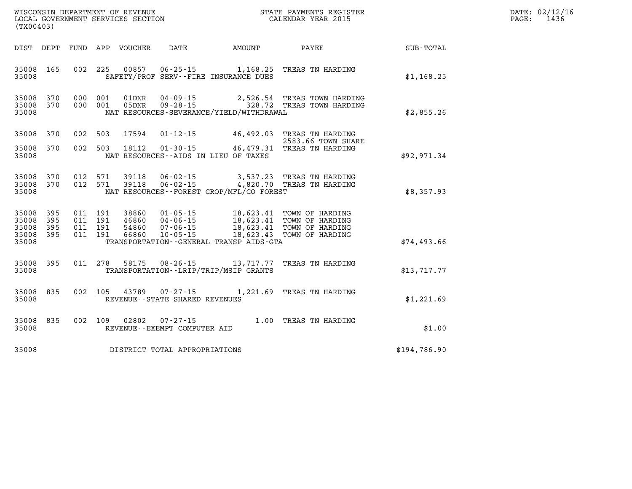| $\texttt{DATE}$ : | 02/12/16 |
|-------------------|----------|
| PAGE:             | 1436     |

| WISCONSIN DEPARTMENT OF REVENUE<br>(TX00403)                                                      | LOCAL GOVERNMENT SERVICES SECTION                                                                                                                                                 | STATE PAYMENTS REGISTER<br>CALENDAR YEAR 2015 |                                                                                              |              |
|---------------------------------------------------------------------------------------------------|-----------------------------------------------------------------------------------------------------------------------------------------------------------------------------------|-----------------------------------------------|----------------------------------------------------------------------------------------------|--------------|
| DIST<br>DEPT<br>FUND                                                                              | APP<br>VOUCHER<br>DATE                                                                                                                                                            | AMOUNT                                        | PAYEE                                                                                        | SUB-TOTAL    |
| 165<br>002<br>35008<br>35008                                                                      | 225<br>00857<br>$06 - 25 - 15$<br>SAFETY/PROF SERV--FIRE INSURANCE DUES                                                                                                           | 1,168.25                                      | TREAS TN HARDING                                                                             | \$1,168.25   |
| 370<br>000<br>35008<br>370<br>35008<br>000<br>35008                                               | 001<br>01DNR<br>$04 - 09 - 15$<br>$09 - 28 - 15$<br>001<br>05DNR<br>NAT RESOURCES-SEVERANCE/YIELD/WITHDRAWAL                                                                      | 2,526.54<br>328.72                            | TREAS TOWN HARDING<br>TREAS TOWN HARDING                                                     | \$2,855.26   |
| 35008<br>370<br>002                                                                               | 503<br>17594<br>$01 - 12 - 15$                                                                                                                                                    | 46,492.03                                     | TREAS TN HARDING<br>2583.66 TOWN SHARE                                                       |              |
| 002<br>35008<br>370<br>35008                                                                      | 503<br>18112<br>$01 - 30 - 15$<br>NAT RESOURCES -- AIDS IN LIEU OF TAXES                                                                                                          | 46,479.31                                     | TREAS TN HARDING                                                                             | \$92,971.34  |
| 370<br>012<br>35008<br>370<br>012<br>35008<br>35008                                               | 571<br>39118<br>$06 - 02 - 15$<br>571<br>39118<br>$06 - 02 - 15$<br>NAT RESOURCES - - FOREST CROP/MFL/CO FOREST                                                                   | 3,537.23                                      | TREAS TN HARDING<br>4,820.70 TREAS TN HARDING                                                | \$8,357.93   |
| 35008<br>395<br>011<br>35008<br>395<br>011<br>35008<br>395<br>011<br>35008<br>395<br>011<br>35008 | 191<br>38860<br>$01 - 05 - 15$<br>191<br>$04 - 06 - 15$<br>46860<br>191<br>54860<br>$07 - 06 - 15$<br>$10 - 05 - 15$<br>191<br>66860<br>TRANSPORTATION -- GENERAL TRANSP AIDS-GTA | 18,623.41<br>18,623.43                        | 18,623.41 TOWN OF HARDING<br>18,623.41 TOWN OF HARDING<br>TOWN OF HARDING<br>TOWN OF HARDING | \$74,493.66  |
| 395<br>011<br>35008<br>35008                                                                      | 278<br>58175<br>$08 - 26 - 15$<br>TRANSPORTATION - - LRIP/TRIP/MSIP GRANTS                                                                                                        | 13,717.77                                     | TREAS TN HARDING                                                                             | \$13,717.77  |
| 835<br>002<br>35008<br>35008                                                                      | 105<br>43789<br>$07 - 27 - 15$<br>REVENUE - - STATE SHARED REVENUES                                                                                                               | 1,221.69                                      | TREAS TN HARDING                                                                             | \$1,221.69   |
| 835<br>002<br>35008<br>35008                                                                      | 109<br>02802<br>$07 - 27 - 15$<br>REVENUE--EXEMPT COMPUTER AID                                                                                                                    |                                               | 1.00 TREAS TN HARDING                                                                        | \$1.00       |
| 35008                                                                                             | DISTRICT TOTAL APPROPRIATIONS                                                                                                                                                     |                                               |                                                                                              | \$194,786.90 |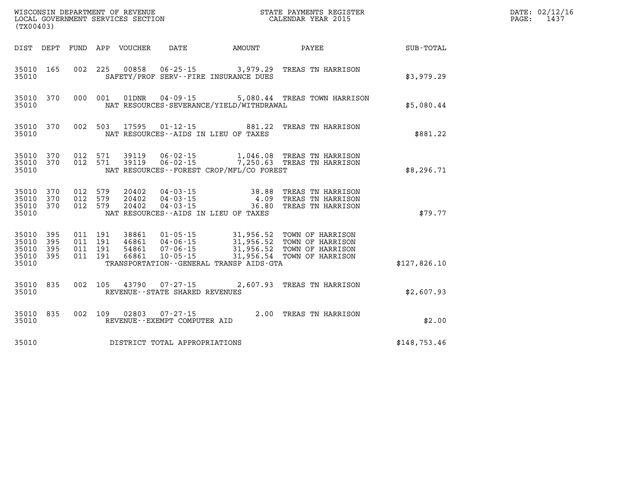| WISCONSIN DEPARTMENT OF REVENUE<br>LOCAL GOVERNMENT SERVICES SECTION<br>CALENDAR YEAR 2015<br>(TX00403) |                        |  |                                          |                                                 |                                   |                                          |                                                                                                                                                                                  |              | DATE: 02/12/16<br>PAGE: 1437 |
|---------------------------------------------------------------------------------------------------------|------------------------|--|------------------------------------------|-------------------------------------------------|-----------------------------------|------------------------------------------|----------------------------------------------------------------------------------------------------------------------------------------------------------------------------------|--------------|------------------------------|
|                                                                                                         |                        |  |                                          |                                                 |                                   |                                          | DIST DEPT FUND APP VOUCHER DATE AMOUNT PAYEE SUB-TOTAL                                                                                                                           |              |                              |
| 35010 165<br>35010                                                                                      |                        |  |                                          |                                                 |                                   | SAFETY/PROF SERV--FIRE INSURANCE DUES    | 002 225 00858 06-25-15 3,979.29 TREAS TN HARRISON                                                                                                                                | \$3,979.29   |                              |
| 35010                                                                                                   | 35010 370              |  |                                          |                                                 | 000 001 01DNR 04-09-15            | NAT RESOURCES-SEVERANCE/YIELD/WITHDRAWAL | 5,080.44 TREAS TOWN HARRISON                                                                                                                                                     | \$5,080.44   |                              |
| 35010                                                                                                   | 35010 370              |  |                                          |                                                 |                                   | NAT RESOURCES--AIDS IN LIEU OF TAXES     | 002 503 17595 01-12-15 881.22 TREAS TN HARRISON                                                                                                                                  | \$881.22     |                              |
| 35010                                                                                                   | 35010 370<br>35010 370 |  |                                          |                                                 |                                   | NAT RESOURCES--FOREST CROP/MFL/CO FOREST | 012 571 39119   06-02-15   1,046.08 TREAS TN HARRISON<br>012 571 39119   06-02-15   7,250.63 TREAS TN HARRISON                                                                   | \$8,296.71   |                              |
| 35010<br>35010 370<br>35010                                                                             | 370<br>35010 370       |  |                                          | 012 579 20402<br>012 579 20402<br>012 579 20402 |                                   | NAT RESOURCES--AIDS IN LIEU OF TAXES     | 04-03-15 38.88 TREAS TN HARRISON<br>04-03-15 4.09 TREAS TN HARRISON<br>04-03-15 36.80 TREAS TN HARRISON                                                                          | \$79.77      |                              |
| 35010 395<br>35010<br>35010 395<br>35010 395<br>35010                                                   | 395                    |  | 011 191<br>011 191<br>011 191<br>011 191 |                                                 |                                   | TRANSPORTATION--GENERAL TRANSP AIDS-GTA  | 38861 01-05-15 31,956.52 TOWN OF HARRISON<br>46861 04-06-15 31,956.52 TOWN OF HARRISON<br>54861 07-06-15 31,956.52 TOWN OF HARRISON<br>66861 10-05-15 31,956.54 TOWN OF HARRISON | \$127,826.10 |                              |
| 35010 835<br>35010                                                                                      |                        |  |                                          |                                                 | REVENUE - - STATE SHARED REVENUES |                                          | 002 105 43790 07-27-15 2,607.93 TREAS TN HARRISON                                                                                                                                | \$2,607.93   |                              |
| 35010                                                                                                   | 35010 835              |  |                                          |                                                 | REVENUE--EXEMPT COMPUTER AID      |                                          | 002 109 02803 07-27-15 2.00 TREAS TN HARRISON                                                                                                                                    | \$2.00       |                              |
| 35010                                                                                                   |                        |  |                                          |                                                 | DISTRICT TOTAL APPROPRIATIONS     |                                          |                                                                                                                                                                                  | \$148,753.46 |                              |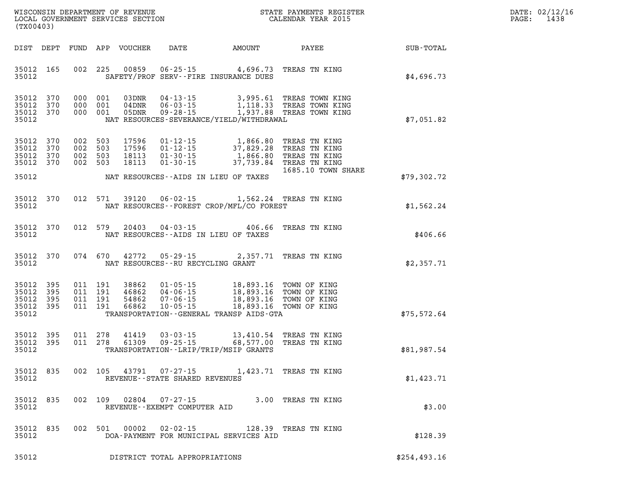| $\mathtt{DATE}$ : | 02/12/16 |
|-------------------|----------|
| PAGE:             | 1438     |

| (TX00403)                                     |                   |         |                               | LOCAL GOVERNMENT SERVICES SECTION |                                                   |                                                                                                                                                                                                                                                                                                                                                                                                      | CALENDAR YEAR 2015                                                                                                                                    |                                                        | PAGE: | 1438 |
|-----------------------------------------------|-------------------|---------|-------------------------------|-----------------------------------|---------------------------------------------------|------------------------------------------------------------------------------------------------------------------------------------------------------------------------------------------------------------------------------------------------------------------------------------------------------------------------------------------------------------------------------------------------------|-------------------------------------------------------------------------------------------------------------------------------------------------------|--------------------------------------------------------|-------|------|
|                                               |                   |         |                               |                                   |                                                   |                                                                                                                                                                                                                                                                                                                                                                                                      |                                                                                                                                                       | DIST DEPT FUND APP VOUCHER DATE AMOUNT PAYEE SUB-TOTAL |       |      |
| 35012 165<br>35012                            |                   |         |                               |                                   |                                                   | 002 225 00859 06-25-15 4,696.73 TREAS TN KING<br>SAFETY/PROF SERV--FIRE INSURANCE DUES                                                                                                                                                                                                                                                                                                               |                                                                                                                                                       | \$4,696.73                                             |       |      |
| 35012 370<br>35012 370<br>35012 370<br>35012  |                   |         |                               |                                   |                                                   | NAT RESOURCES-SEVERANCE/YIELD/WITHDRAWAL                                                                                                                                                                                                                                                                                                                                                             | 000 001 03DNR 04-13-15 3,995.61 TREAS TOWN KING<br>000 001 04DNR 06-03-15 1,118.33 TREAS TOWN KING<br>000 001 05DNR 09-28-15 1,937.88 TREAS TOWN KING | \$7,051.82                                             |       |      |
| 35012<br>35012<br>35012<br>35012 370          | 370<br>370<br>370 | 002 503 | 002 503<br>002 503<br>002 503 | 17596<br>17596<br>18113<br>18113  |                                                   | 01-12-15 1,866.80 TREAS TN KING<br>01-12-15 37,829.28 TREAS TN KING<br>01-30-15 1,866.80 TREAS TN KING<br>01-30-15 37,739.84 TREAS TN KING                                                                                                                                                                                                                                                           | 1685.10 TOWN SHARE                                                                                                                                    |                                                        |       |      |
| 35012                                         |                   |         |                               |                                   |                                                   | NAT RESOURCES--AIDS IN LIEU OF TAXES                                                                                                                                                                                                                                                                                                                                                                 |                                                                                                                                                       | \$79,302.72                                            |       |      |
| 35012 370<br>35012                            |                   |         |                               |                                   |                                                   | 012 571 39120 06-02-15 1,562.24 TREAS TN KING<br>NAT RESOURCES - - FOREST CROP/MFL/CO FOREST                                                                                                                                                                                                                                                                                                         |                                                                                                                                                       | \$1,562.24                                             |       |      |
| 35012 370<br>35012                            |                   |         |                               |                                   |                                                   | NAT RESOURCES--AIDS IN LIEU OF TAXES                                                                                                                                                                                                                                                                                                                                                                 | 012 579 20403 04-03-15 406.66 TREAS TN KING                                                                                                           | \$406.66                                               |       |      |
| 35012 370<br>35012                            |                   |         |                               |                                   | NAT RESOURCES--RU RECYCLING GRANT                 | 074 670 42772 05-29-15 2,357.71 TREAS TN KING                                                                                                                                                                                                                                                                                                                                                        |                                                                                                                                                       | \$2,357.71                                             |       |      |
| 35012<br>35012<br>35012<br>35012 395<br>35012 | 395<br>395<br>395 |         |                               |                                   |                                                   | $\begin{array}{cccc} 011 & 191 & 38862 & 01\text{-}05\text{-}15 & 18,893.16 & \text{TOWN OF KING} \\ 011 & 191 & 46862 & 04\text{-}06\text{-}15 & 18,893.16 & \text{TOWN OF KING} \\ 011 & 191 & 54862 & 07\text{-}06\text{-}15 & 18,893.16 & \text{TOWN OF KING} \\ 011 & 191 & 66862 & 10\text{-}05\text{-}15 & 18,893.16 & \text{TOWN OF KING} \$<br>TRANSPORTATION - - GENERAL TRANSP AIDS - GTA |                                                                                                                                                       | \$75,572.64                                            |       |      |
| 35012 395<br>35012 395<br>35012               |                   |         | 011 278                       | 41419<br>011 278 61309            |                                                   | 03-03-15 13,410.54 TREAS TN KING<br>09-25-15 68,577.00 TREAS TN KING<br>TRANSPORTATION - - LRIP/TRIP/MSIP GRANTS                                                                                                                                                                                                                                                                                     |                                                                                                                                                       | \$81,987.54                                            |       |      |
| 35012 835<br>35012                            |                   |         | 002 105                       | 43791                             | $07 - 27 - 15$<br>REVENUE--STATE SHARED REVENUES  |                                                                                                                                                                                                                                                                                                                                                                                                      | 1,423.71 TREAS TN KING                                                                                                                                | \$1,423.71                                             |       |      |
| 35012<br>35012                                | 835               |         | 002 109                       | 02804                             | $07 - 27 - 15$<br>REVENUE - - EXEMPT COMPUTER AID |                                                                                                                                                                                                                                                                                                                                                                                                      | 3.00 TREAS TN KING                                                                                                                                    | \$3.00                                                 |       |      |
| 35012<br>35012                                | 835               |         | 002 501                       | 00002                             | $02 - 02 - 15$                                    | DOA-PAYMENT FOR MUNICIPAL SERVICES AID                                                                                                                                                                                                                                                                                                                                                               | 128.39 TREAS TN KING                                                                                                                                  | \$128.39                                               |       |      |
| 35012                                         |                   |         |                               |                                   | DISTRICT TOTAL APPROPRIATIONS                     |                                                                                                                                                                                                                                                                                                                                                                                                      |                                                                                                                                                       | \$254,493.16                                           |       |      |

WISCONSIN DEPARTMENT OF REVENUE **STATE PAYMENTS REGISTER**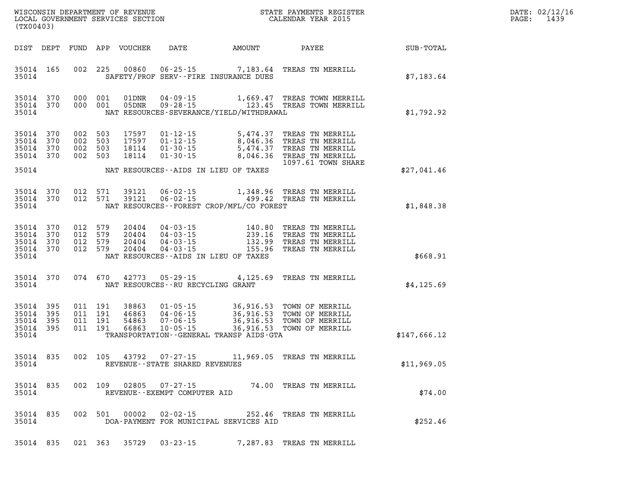| DATE: | 02/12/16 |
|-------|----------|
| PAGE: | 1439     |

| (TX00403)                                                       |  |                                          |                                  |                                   |                                          |                                                                                                                                                                                                              | R            | DATE: 02/12/1<br>1439<br>PAGE: |
|-----------------------------------------------------------------|--|------------------------------------------|----------------------------------|-----------------------------------|------------------------------------------|--------------------------------------------------------------------------------------------------------------------------------------------------------------------------------------------------------------|--------------|--------------------------------|
|                                                                 |  |                                          |                                  |                                   |                                          |                                                                                                                                                                                                              |              |                                |
| 35014 165<br>35014                                              |  |                                          |                                  |                                   | SAFETY/PROF SERV--FIRE INSURANCE DUES    | 002 225 00860 06-25-15 7,183.64 TREAS TN MERRILL                                                                                                                                                             | \$7,183.64   |                                |
| 35014 370<br>35014 370<br>35014                                 |  |                                          |                                  |                                   | NAT RESOURCES-SEVERANCE/YIELD/WITHDRAWAL | 000 001 01DNR 04-09-15 1,669.47 TREAS TOWN MERRILL 000 001 05DNR 09-28-15 123.45 TREAS TOWN MERRILL                                                                                                          | \$1,792.92   |                                |
| 370<br>35014<br>35014<br>370<br>35014 370<br>35014 370          |  | 002 503<br>002 503<br>002 503<br>002 503 | 17597<br>17597<br>18114<br>18114 |                                   |                                          | 01-12-15 5,474.37 TREAS TN MERRILL<br>01-12-15 8,046.36 TREAS TN MERRILL<br>01-30-15 5,474.37 TREAS TN MERRILL<br>01-30-15 8,046.36 TREAS TN MERRILL<br>1097.61 TOWN SHARE                                   |              |                                |
| 35014                                                           |  |                                          |                                  |                                   | NAT RESOURCES--AIDS IN LIEU OF TAXES     |                                                                                                                                                                                                              | \$27,041.46  |                                |
| 35014 370<br>35014 370<br>35014                                 |  |                                          |                                  |                                   | NAT RESOURCES--FOREST CROP/MFL/CO FOREST | 012 571 39121 06-02-15 1,348.96 TREAS TN MERRILL<br>012 571 39121 06-02-15 499.42 TREAS TN MERRILL                                                                                                           | \$1,848.38   |                                |
| 35014 370<br>370<br>35014<br>35014 370<br>35014 370<br>35014    |  | 012 579 20404                            |                                  |                                   | NAT RESOURCES--AIDS IN LIEU OF TAXES     | 012 579 20404 04-03-15 140.80 TREAS TN MERRILL<br>012 579 20404 04-03-15 239.16 TREAS TN MERRILL<br>012 579 20404 04-03-15 132.99 TREAS TN MERRILL<br>012 579 20404 04-03-15 155.96 TREAS TN MERRILL         | \$668.91     |                                |
| 35014 370<br>35014                                              |  |                                          |                                  | NAT RESOURCES--RU RECYCLING GRANT |                                          | 074 670 42773 05-29-15 4,125.69 TREAS TN MERRILL                                                                                                                                                             | \$4, 125.69  |                                |
| 35014<br>395<br>35014 395<br>35014<br>395<br>35014 395<br>35014 |  |                                          |                                  |                                   | TRANSPORTATION--GENERAL TRANSP AIDS-GTA  | 011 191 38863 01-05-15 36,916.53 TOWN OF MERRILL<br>011 191 46863 04-06-15 36,916.53 TOWN OF MERRILL<br>011 191 54863 07-06-15 36,916.53 TOWN OF MERRILL<br>011 191 66863 10-05-15 36,916.53 TOWN OF MERRILL | \$147,666.12 |                                |
| 35014 835<br>35014                                              |  |                                          |                                  | REVENUE - - STATE SHARED REVENUES |                                          | 002 105 43792 07-27-15 11,969.05 TREAS TN MERRILL                                                                                                                                                            | \$11,969.05  |                                |
| 35014 835<br>35014                                              |  |                                          |                                  | REVENUE--EXEMPT COMPUTER AID      |                                          | 002 109 02805 07-27-15 74.00 TREAS TN MERRILL                                                                                                                                                                | \$74.00      |                                |
| 35014 835<br>35014                                              |  |                                          |                                  | 002 501 00002 02-02-15            | DOA-PAYMENT FOR MUNICIPAL SERVICES AID   | 252.46 TREAS TN MERRILL                                                                                                                                                                                      | \$252.46     |                                |
|                                                                 |  |                                          |                                  |                                   |                                          | 35014 835 021 363 35729 03-23-15 7,287.83 TREAS TN MERRILL                                                                                                                                                   |              |                                |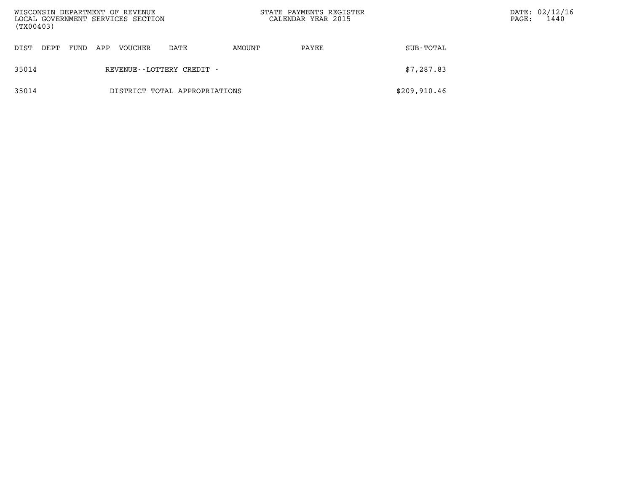|       | WISCONSIN DEPARTMENT OF REVENUE<br>LOCAL GOVERNMENT SERVICES SECTION<br>(TX00403) |      |     |         |                               | STATE PAYMENTS REGISTER<br>CALENDAR YEAR 2015 |       | PAGE:        | DATE: 02/12/16<br>1440 |  |
|-------|-----------------------------------------------------------------------------------|------|-----|---------|-------------------------------|-----------------------------------------------|-------|--------------|------------------------|--|
| DIST  | DEPT                                                                              | FUND | APP | VOUCHER | DATE                          | AMOUNT                                        | PAYEE | SUB-TOTAL    |                        |  |
| 35014 |                                                                                   |      |     |         | REVENUE--LOTTERY CREDIT -     |                                               |       | \$7,287.83   |                        |  |
| 35014 |                                                                                   |      |     |         | DISTRICT TOTAL APPROPRIATIONS |                                               |       | \$209,910.46 |                        |  |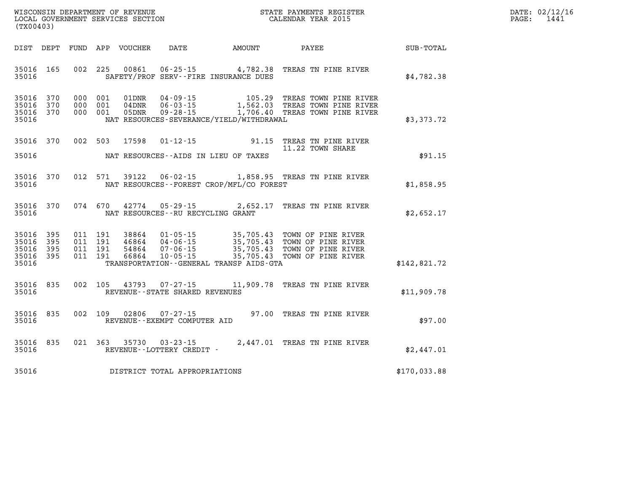| $\mathtt{DATE}$ : | 02/12/16 |
|-------------------|----------|
| $\mathtt{PAGE}$ : | 1441     |

| WISCONSIN DEPARTMENT OF REVENUE<br>(TX00403)                                                      | LOCAL GOVERNMENT SERVICES SECTION                                                                                                                                                    |                                                  | STATE PAYMENTS REGISTER<br>CALENDAR YEAR 2015                                        |                  |
|---------------------------------------------------------------------------------------------------|--------------------------------------------------------------------------------------------------------------------------------------------------------------------------------------|--------------------------------------------------|--------------------------------------------------------------------------------------|------------------|
| DIST<br><b>FUND</b><br>DEPT                                                                       | APP<br>VOUCHER<br><b>DATE</b>                                                                                                                                                        | <b>AMOUNT</b>                                    | PAYEE                                                                                | <b>SUB-TOTAL</b> |
| 002<br>165<br>35016<br>35016                                                                      | 225<br>00861<br>$06 - 25 - 15$ 4, 782.38<br>SAFETY/PROF SERV--FIRE INSURANCE DUES                                                                                                    |                                                  | TREAS TN PINE RIVER                                                                  | \$4,782.38       |
| 370<br>35016<br>000<br>35016<br>370<br>000<br>35016<br>370<br>000<br>35016                        | 001<br>01DNR<br>$04 - 09 - 15$<br>001<br>04DNR<br>$06 - 03 - 15$<br>001<br>05DNR<br>$09 - 28 - 15$<br>NAT RESOURCES-SEVERANCE/YIELD/WITHDRAWAL                                       | 105.29<br>1,562.03                               | TREAS TOWN PINE RIVER<br>TREAS TOWN PINE RIVER<br>1,706.40 TREAS TOWN PINE RIVER     | \$3,373.72       |
| 002<br>370<br>35016<br>35016                                                                      | 503<br>17598<br>$01 - 12 - 15$<br>NAT RESOURCES--AIDS IN LIEU OF TAXES                                                                                                               | 91.15                                            | TREAS TN PINE RIVER<br>11.22 TOWN SHARE                                              | \$91.15          |
| 370<br>012<br>35016<br>35016                                                                      | 571<br>39122<br>NAT RESOURCES - - FOREST CROP/MFL/CO FOREST                                                                                                                          |                                                  | 06-02-15 1,858.95 TREAS TN PINE RIVER                                                | \$1,858.95       |
| 370<br>074<br>35016<br>35016                                                                      | 670<br>42774 05-29-15<br>NAT RESOURCES - - RU RECYCLING GRANT                                                                                                                        | 2,652.17                                         | TREAS TN PINE RIVER                                                                  | \$2,652.17       |
| 35016<br>395<br>011<br>011<br>35016<br>395<br>35016<br>395<br>011<br>35016<br>011<br>395<br>35016 | 191<br>38864<br>$01 - 05 - 15$<br>191<br>$04 - 06 - 15$<br>46864<br>191<br>54864<br>$07 - 06 - 15$<br>191<br>$10 - 05 - 15$<br>66864<br>TRANSPORTATION - - GENERAL TRANSP AIDS - GTA | 35,705.43<br>35,705.43<br>35,705.43<br>35,705.43 | TOWN OF PINE RIVER<br>TOWN OF PINE RIVER<br>TOWN OF PINE RIVER<br>TOWN OF PINE RIVER | \$142,821.72     |
| 835<br>002<br>35016<br>35016                                                                      | 105<br>43793 07-27-15<br>REVENUE - - STATE SHARED REVENUES                                                                                                                           | 11,909.78                                        | TREAS TN PINE RIVER                                                                  | \$11,909.78      |
| 002<br>35016<br>835<br>35016                                                                      | 109<br>02806<br>$07 - 27 - 15$<br>REVENUE--EXEMPT COMPUTER AID                                                                                                                       | 97.00                                            | TREAS TN PINE RIVER                                                                  | \$97.00          |
| 835<br>021<br>35016<br>35016                                                                      | 363<br>35730<br>$03 - 23 - 15$<br>REVENUE--LOTTERY CREDIT -                                                                                                                          |                                                  | 2,447.01 TREAS TN PINE RIVER                                                         | \$2,447.01       |
| 35016                                                                                             | DISTRICT TOTAL APPROPRIATIONS                                                                                                                                                        |                                                  |                                                                                      | \$170,033.88     |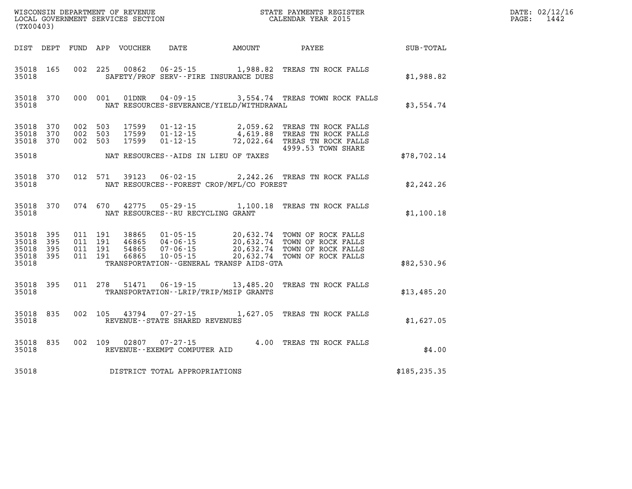|                                                       | (TX00403)              |                                          |  |       |                                |                                              |                                                                                                                                                                                                  | $\mathbb{R}^n$ | DATE: 02/12/16<br>PAGE: 1442 |
|-------------------------------------------------------|------------------------|------------------------------------------|--|-------|--------------------------------|----------------------------------------------|--------------------------------------------------------------------------------------------------------------------------------------------------------------------------------------------------|----------------|------------------------------|
|                                                       |                        |                                          |  |       |                                | DIST DEPT FUND APP VOUCHER DATE AMOUNT       | PAYEE                                                                                                                                                                                            | SUB-TOTAL      |                              |
| 35018                                                 | 35018 165              |                                          |  |       |                                | SAFETY/PROF SERV--FIRE INSURANCE DUES        | 002 225 00862 06-25-15 1,988.82 TREAS TN ROCK FALLS                                                                                                                                              | \$1,988.82     |                              |
| 35018                                                 |                        |                                          |  |       |                                | NAT RESOURCES-SEVERANCE/YIELD/WITHDRAWAL     | 35018 370 000 001 01DNR 04-09-15 3,554.74 TREAS TOWN ROCK FALLS                                                                                                                                  | \$3,554.74     |                              |
| 35018 370                                             | 35018 370<br>35018 370 | 002 503<br>002 503<br>002 503            |  | 17599 |                                |                                              | 17599  01-12-15  2,059.62  TREAS TN ROCK FALLS<br>17599  01-12-15  4,619.88  TREAS TN ROCK FALLS<br>17599  01-12-15  72,022.64  TREAS TN ROCK FALLS                                              |                |                              |
| 35018                                                 |                        |                                          |  |       |                                | NAT RESOURCES--AIDS IN LIEU OF TAXES         | 4999.53 TOWN SHARE                                                                                                                                                                               | \$78,702.14    |                              |
| 35018                                                 |                        |                                          |  |       |                                | NAT RESOURCES--FOREST CROP/MFL/CO FOREST     | 35018 370 012 571 39123 06-02-15 2,242.26 TREAS TN ROCK FALLS                                                                                                                                    | \$2,242.26     |                              |
| 35018                                                 |                        |                                          |  |       |                                | NAT RESOURCES--RU RECYCLING GRANT            | 35018 370 074 670 42775 05-29-15 1,100.18 TREAS TN ROCK FALLS                                                                                                                                    | \$1,100.18     |                              |
| 35018<br>35018 395<br>35018 395<br>35018 395<br>35018 | 395                    | 011 191<br>011 191<br>011 191<br>011 191 |  |       |                                | TRANSPORTATION - - GENERAL TRANSP AIDS - GTA | 38865  01-05-15  20,632.74 TOWN OF ROCK FALLS<br>46865  04-06-15  20,632.74 TOWN OF ROCK FALLS<br>54865  07-06-15  20,632.74 TOWN OF ROCK FALLS<br>66865  10-05-15  20,632.74 TOWN OF ROCK FALLS | \$82,530.96    |                              |
| 35018                                                 | 35018 395              |                                          |  |       |                                | TRANSPORTATION - - LRIP/TRIP/MSIP GRANTS     | 011 278 51471 06-19-15 13,485.20 TREAS TN ROCK FALLS                                                                                                                                             | \$13,485.20    |                              |
| 35018                                                 | 35018 835              |                                          |  |       | REVENUE--STATE SHARED REVENUES |                                              | 002 105 43794 07-27-15 1,627.05 TREAS TN ROCK FALLS                                                                                                                                              | \$1,627.05     |                              |
| 35018                                                 |                        |                                          |  |       | REVENUE--EXEMPT COMPUTER AID   |                                              | 35018 835 002 109 02807 07-27-15 4.00 TREAS TN ROCK FALLS                                                                                                                                        | \$4.00         |                              |
| 35018                                                 |                        |                                          |  |       | DISTRICT TOTAL APPROPRIATIONS  |                                              |                                                                                                                                                                                                  | \$185, 235.35  |                              |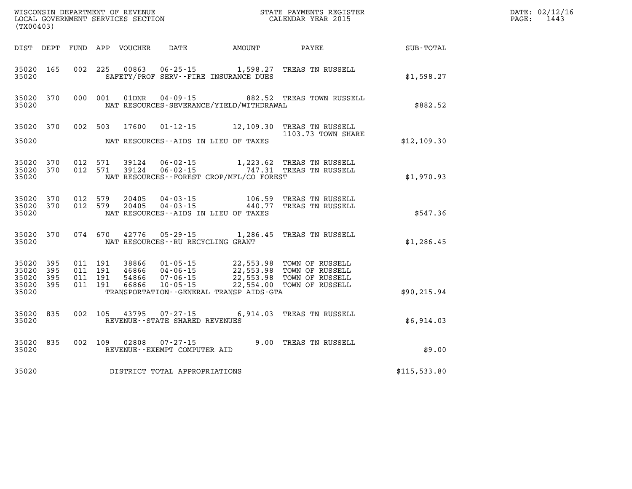|                                 | ${\tt WISCONSIM\ DEPARTMENT\ OF\ REVENUE}\qquad \qquad {\tt STATE\ PAYMENTS\ REGISTER}\nonumber\\ {\tt LOCAL\ GOVERNMENT\ SERVICES\ SECTION}\qquad \qquad {\tt CALENDAR\ YEAR\ 2015}$<br>(TX00403) |                                          |  |  |                                   |                                              |                                                                                                                                                                                          |                  | DATE: 02/12/16<br>$\mathtt{PAGE}$ :<br>1443 |
|---------------------------------|----------------------------------------------------------------------------------------------------------------------------------------------------------------------------------------------------|------------------------------------------|--|--|-----------------------------------|----------------------------------------------|------------------------------------------------------------------------------------------------------------------------------------------------------------------------------------------|------------------|---------------------------------------------|
|                                 |                                                                                                                                                                                                    |                                          |  |  |                                   | DIST DEPT FUND APP VOUCHER DATE AMOUNT       | <b>PAYEE</b>                                                                                                                                                                             | <b>SUB-TOTAL</b> |                                             |
| 35020                           |                                                                                                                                                                                                    |                                          |  |  |                                   | SAFETY/PROF SERV--FIRE INSURANCE DUES        | 35020 165 002 225 00863 06-25-15 1,598.27 TREAS TN RUSSELL                                                                                                                               | \$1,598.27       |                                             |
| 35020                           |                                                                                                                                                                                                    |                                          |  |  |                                   | NAT RESOURCES-SEVERANCE/YIELD/WITHDRAWAL     | 35020 370 000 001 01DNR 04-09-15 882.52 TREAS TOWN RUSSELL                                                                                                                               | \$882.52         |                                             |
|                                 |                                                                                                                                                                                                    |                                          |  |  |                                   |                                              | 35020 370 002 503 17600 01-12-15 12,109.30 TREAS TN RUSSELL<br>1103.73 TOWN SHARE                                                                                                        |                  |                                             |
| 35020                           |                                                                                                                                                                                                    |                                          |  |  |                                   | NAT RESOURCES--AIDS IN LIEU OF TAXES         |                                                                                                                                                                                          | \$12,109.30      |                                             |
| 35020                           | 35020 370<br>35020 370                                                                                                                                                                             | 012 571<br>012 571                       |  |  |                                   | NAT RESOURCES - - FOREST CROP/MFL/CO FOREST  |                                                                                                                                                                                          | \$1,970.93       |                                             |
| 35020                           | 35020 370                                                                                                                                                                                          | 35020 370 012 579<br>012 579             |  |  |                                   | NAT RESOURCES--AIDS IN LIEU OF TAXES         | 20405  04-03-15  106.59  TREAS TN RUSSELL<br>20405  04-03-15  440.77  TREAS TN RUSSELL                                                                                                   | \$547.36         |                                             |
| 35020                           |                                                                                                                                                                                                    |                                          |  |  | NAT RESOURCES--RU RECYCLING GRANT |                                              | 35020 370 074 670 42776 05-29-15 1,286.45 TREAS TN RUSSELL                                                                                                                               | \$1,286.45       |                                             |
| 35020 395<br>35020 395<br>35020 | 35020 395<br>35020 395                                                                                                                                                                             | 011 191<br>011 191<br>011 191<br>011 191 |  |  |                                   | TRANSPORTATION - - GENERAL TRANSP AIDS - GTA | 38866  01-05-15  22,553.98  TOWN OF RUSSELL<br>46866  04-06-15  22,553.98  TOWN OF RUSSELL<br>54866  07-06-15  22,553.98  TOWN OF RUSSELL<br>66866  10-05-15  22,554.00  TOWN OF RUSSELL | \$90, 215.94     |                                             |
| 35020                           | 35020 835                                                                                                                                                                                          |                                          |  |  | REVENUE--STATE SHARED REVENUES    |                                              | 002 105 43795 07-27-15 6,914.03 TREAS TN RUSSELL                                                                                                                                         | \$6,914.03       |                                             |
| 35020                           |                                                                                                                                                                                                    |                                          |  |  | REVENUE--EXEMPT COMPUTER AID      |                                              | 35020 835 002 109 02808 07-27-15 9.00 TREAS TN RUSSELL                                                                                                                                   | \$9.00           |                                             |
| 35020                           |                                                                                                                                                                                                    |                                          |  |  | DISTRICT TOTAL APPROPRIATIONS     |                                              |                                                                                                                                                                                          | \$115,533.80     |                                             |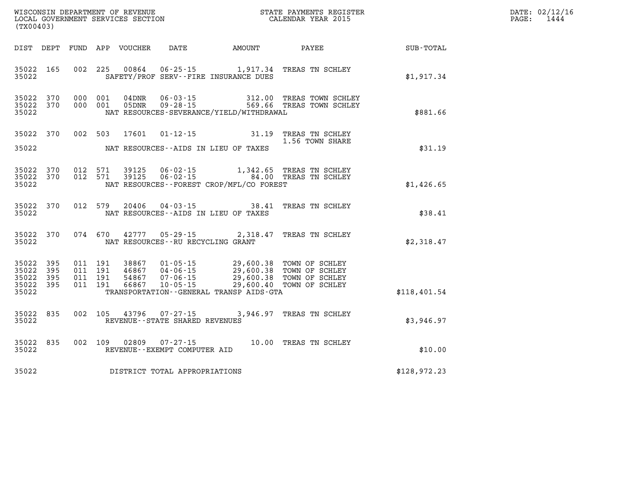| DATE: | 02/12/16 |
|-------|----------|
| PAGE: | 1444     |

| LOCAL GOVERNMENT SERVICES SECTION<br>(TX00403) |                                              |  |                    |       |                                   |                                                                                                                                                                                                                                                                                                                                                                                              | CALENDAR YEAR 2015                                                                      |              | PAGE: | 1444 |
|------------------------------------------------|----------------------------------------------|--|--------------------|-------|-----------------------------------|----------------------------------------------------------------------------------------------------------------------------------------------------------------------------------------------------------------------------------------------------------------------------------------------------------------------------------------------------------------------------------------------|-----------------------------------------------------------------------------------------|--------------|-------|------|
|                                                | DIST DEPT                                    |  |                    |       |                                   |                                                                                                                                                                                                                                                                                                                                                                                              | FUND APP VOUCHER DATE AMOUNT PAYEE                                                      | SUB-TOTAL    |       |      |
| 35022                                          | 35022 165                                    |  |                    |       |                                   | SAFETY/PROF SERV--FIRE INSURANCE DUES                                                                                                                                                                                                                                                                                                                                                        | 002 225 00864 06-25-15 1,917.34 TREAS TN SCHLEY                                         | \$1,917.34   |       |      |
| 35022                                          | 35022 370<br>35022 370                       |  | 000 001<br>000 001 |       |                                   | NAT RESOURCES-SEVERANCE/YIELD/WITHDRAWAL                                                                                                                                                                                                                                                                                                                                                     |                                                                                         | \$881.66     |       |      |
|                                                | 35022 370                                    |  | 002 503            |       |                                   |                                                                                                                                                                                                                                                                                                                                                                                              | 17601  01-12-15  31.19  TREAS TN SCHLEY<br>1.56 TOWN SHARE                              |              |       |      |
| 35022                                          |                                              |  |                    |       |                                   | NAT RESOURCES--AIDS IN LIEU OF TAXES                                                                                                                                                                                                                                                                                                                                                         |                                                                                         | \$31.19      |       |      |
| 35022                                          | 35022 370<br>35022 370                       |  | 012 571<br>012 571 |       |                                   | NAT RESOURCES - - FOREST CROP/MFL/CO FOREST                                                                                                                                                                                                                                                                                                                                                  | 39125  06-02-15   1,342.65  TREAS TN SCHLEY<br>39125  06-02-15   84.00  TREAS TN SCHLEY | \$1,426.65   |       |      |
| 35022                                          | 35022 370                                    |  | 012 579            | 20406 |                                   | NAT RESOURCES--AIDS IN LIEU OF TAXES                                                                                                                                                                                                                                                                                                                                                         | 04-03-15 38.41 TREAS TN SCHLEY                                                          | \$38.41      |       |      |
| 35022                                          | 35022 370                                    |  | 074 670            |       |                                   | NAT RESOURCES--RU RECYCLING GRANT                                                                                                                                                                                                                                                                                                                                                            | 42777 05-29-15 2,318.47 TREAS TN SCHLEY                                                 | \$2,318.47   |       |      |
| 35022<br>35022                                 | 35022 395<br>35022 395<br>- 395<br>35022 395 |  |                    |       |                                   | $\begin{array}{cccc} 011 & 191 & 38867 & 01\cdot 05\cdot 15 & 29,600.38 & \text{TOWN OF SCHLEY} \\ 011 & 191 & 46867 & 04\cdot 06\cdot 15 & 29,600.38 & \text{TOWN OF SCHLEY} \\ 011 & 191 & 54867 & 07\cdot 06\cdot 15 & 29,600.38 & \text{TOWN OF SCHLEY} \\ 011 & 191 & 66867 & 10\cdot 05\cdot 15 & 29,600.40 & \text{TOWN OF SCHLEY} \$<br>TRANSPORTATION - - GENERAL TRANSP AIDS - GTA |                                                                                         | \$118,401.54 |       |      |
| 35022                                          | 35022 835                                    |  | 002 105            |       | REVENUE - - STATE SHARED REVENUES |                                                                                                                                                                                                                                                                                                                                                                                              | 43796 07-27-15 3,946.97 TREAS TN SCHLEY                                                 | \$3,946.97   |       |      |
| 35022                                          | 35022 835                                    |  | 002 109            | 02809 | REVENUE--EXEMPT COMPUTER AID      |                                                                                                                                                                                                                                                                                                                                                                                              | 07-27-15 10.00 TREAS TN SCHLEY                                                          | \$10.00      |       |      |
| 35022                                          |                                              |  |                    |       | DISTRICT TOTAL APPROPRIATIONS     |                                                                                                                                                                                                                                                                                                                                                                                              |                                                                                         | \$128,972.23 |       |      |
|                                                |                                              |  |                    |       |                                   |                                                                                                                                                                                                                                                                                                                                                                                              |                                                                                         |              |       |      |

WISCONSIN DEPARTMENT OF REVENUE **STATE PAYMENTS REGISTER**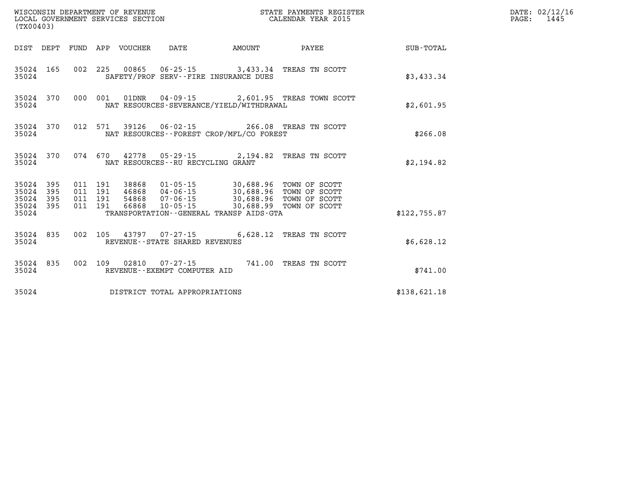| (TX00403)                                       |                                                 | WISCONSIN DEPARTMENT OF REVENUE<br>LOCAL GOVERNMENT SERVICES SECTION |                                                                                                                                                                               |        | STATE PAYMENTS REGISTER<br>CALENDAR YEAR 2015    |              | DATE: 02/12/16<br>$\mathtt{PAGE:}$<br>1445 |
|-------------------------------------------------|-------------------------------------------------|----------------------------------------------------------------------|-------------------------------------------------------------------------------------------------------------------------------------------------------------------------------|--------|--------------------------------------------------|--------------|--------------------------------------------|
|                                                 |                                                 | DIST DEPT FUND APP VOUCHER                                           | DATE                                                                                                                                                                          | AMOUNT | PAYEE                                            | SUB-TOTAL    |                                            |
| 35024 165<br>35024                              |                                                 |                                                                      | SAFETY/PROF SERV--FIRE INSURANCE DUES                                                                                                                                         |        | 002 225 00865 06-25-15 3,433.34 TREAS TN SCOTT   | \$3,433.34   |                                            |
| 35024 370<br>35024                              |                                                 |                                                                      | NAT RESOURCES-SEVERANCE/YIELD/WITHDRAWAL                                                                                                                                      |        | 000 001 01DNR 04-09-15 2,601.95 TREAS TOWN SCOTT | \$2,601.95   |                                            |
| 35024 370<br>35024                              |                                                 |                                                                      | NAT RESOURCES - - FOREST CROP/MFL/CO FOREST                                                                                                                                   |        | 012 571 39126 06-02-15 266.08 TREAS TN SCOTT     | \$266.08     |                                            |
| 35024 370<br>35024                              |                                                 |                                                                      | NAT RESOURCES--RU RECYCLING GRANT                                                                                                                                             |        | 074 670 42778 05-29-15 2,194.82 TREAS TN SCOTT   | \$2,194.82   |                                            |
| 35024 395<br>35024<br>35024<br>395<br>35024 395 | 011 191<br>395<br>011 191<br>011 191<br>011 191 |                                                                      | 38868  01-05-15  30,688.96  TOWN OF SCOTT<br>46868 04-06-15 30,688.96 TOWN OF SCOTT<br>54868  07-06-15  30,688.96  TOWN OF SCOTT<br>66868  10-05-15  30,688.99  TOWN OF SCOTT |        |                                                  |              |                                            |
| 35024                                           |                                                 |                                                                      | TRANSPORTATION--GENERAL TRANSP AIDS-GTA                                                                                                                                       |        |                                                  | \$122,755.87 |                                            |
| 35024 835<br>35024                              |                                                 |                                                                      | 002 105 43797 07-27-15<br>REVENUE - - STATE SHARED REVENUES                                                                                                                   |        | 6,628.12 TREAS TN SCOTT                          | \$6,628.12   |                                            |
| 35024 835<br>35024                              |                                                 |                                                                      | REVENUE--EXEMPT COMPUTER AID                                                                                                                                                  |        | 002 109 02810 07-27-15 741.00 TREAS TN SCOTT     | \$741.00     |                                            |
| 35024                                           |                                                 |                                                                      | DISTRICT TOTAL APPROPRIATIONS                                                                                                                                                 |        |                                                  | \$138,621.18 |                                            |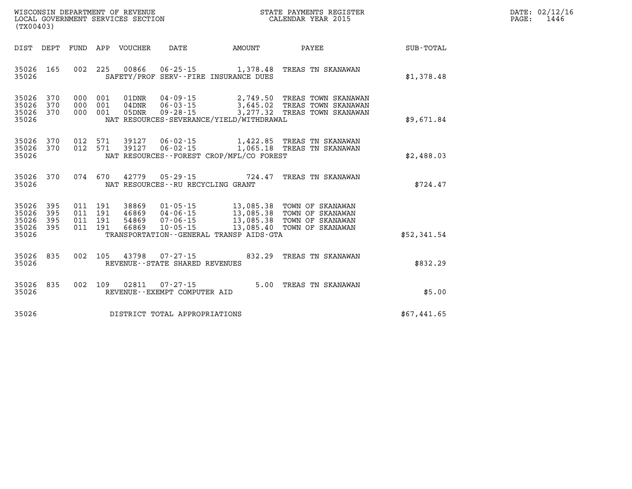| WISCONSIN DEPARTMENT OF REVENUE   | STATE PAYMENTS REGISTER | 02/12/16<br>DATE: |
|-----------------------------------|-------------------------|-------------------|
| LOCAL GOVERNMENT SERVICES SECTION | CALENDAR YEAR 2015      | 1446<br>PAGE:     |

| (TX00403)                                                             |                          |                                                                                                                                                                                                                                                                                                                     |             |
|-----------------------------------------------------------------------|--------------------------|---------------------------------------------------------------------------------------------------------------------------------------------------------------------------------------------------------------------------------------------------------------------------------------------------------------------|-------------|
| DIST<br>DEPT                                                          | FUND                     | APP VOUCHER<br>DATE<br>AMOUNT<br>PAYEE                                                                                                                                                                                                                                                                              | SUB-TOTAL   |
| 165<br>35026<br>35026                                                 | 002                      | 225<br>00866<br>$06 - 25 - 15$<br>1,378.48<br>TREAS TN SKANAWAN<br>SAFETY/PROF SERV--FIRE INSURANCE DUES                                                                                                                                                                                                            | \$1,378.48  |
| 35026<br>370<br>370<br>35026<br>35026<br>370<br>35026                 | 000<br>000<br>000        | $04 - 09 - 15$<br>001<br>01DNR<br>2,749.50 TREAS TOWN SKANAWAN<br>001<br>$04$ DNR<br>$06 - 03 - 15$<br>3,645.02<br>TREAS TOWN SKANAWAN<br>001<br>05DNR<br>$09 - 28 - 15$<br>3,277.32 TREAS TOWN SKANAWAN<br>NAT RESOURCES-SEVERANCE/YIELD/WITHDRAWAL                                                                | \$9,671.84  |
| 35026<br>370<br>35026<br>370<br>35026                                 | 012<br>012               | 571<br>39127<br>06-02-15<br>1,422.85 TREAS TN SKANAWAN<br>$06 - 02 - 15$<br>571<br>39127<br>1,065.18 TREAS TN SKANAWAN<br>NAT RESOURCES - - FOREST CROP/MFL/CO FOREST                                                                                                                                               | \$2,488.03  |
| 35026<br>370<br>35026                                                 | 074                      | 670<br>42779<br>$05 - 29 - 15$<br>724.47<br>TREAS TN SKANAWAN<br>NAT RESOURCES - - RU RECYCLING GRANT                                                                                                                                                                                                               | \$724.47    |
| 395<br>35026<br>35026<br>395<br>35026<br>395<br>35026<br>395<br>35026 | 011<br>011<br>011<br>011 | 13,085.38<br>191<br>38869<br>$01 - 05 - 15$<br>TOWN OF SKANAWAN<br>191<br>46869<br>$04 - 06 - 15$<br>13,085.38<br>TOWN OF SKANAWAN<br>$07 - 06 - 15$<br>191<br>54869<br>13,085.38<br>TOWN OF SKANAWAN<br>191<br>66869<br>$10 - 05 - 15$<br>13,085.40<br>TOWN OF SKANAWAN<br>TRANSPORTATION--GENERAL TRANSP AIDS-GTA | \$52,341.54 |
| 35026<br>835<br>35026                                                 | 002                      | 105<br>43798<br>$07 - 27 - 15$<br>832.29<br>TREAS TN SKANAWAN<br>REVENUE - - STATE SHARED REVENUES                                                                                                                                                                                                                  | \$832.29    |
| 835<br>35026<br>35026                                                 | 002                      | 02811<br>109<br>$07 - 27 - 15$<br>5.00<br>TREAS TN SKANAWAN<br>REVENUE - - EXEMPT COMPUTER AID                                                                                                                                                                                                                      | \$5.00      |
| 35026                                                                 |                          | DISTRICT TOTAL APPROPRIATIONS                                                                                                                                                                                                                                                                                       | \$67,441.65 |

WISCONSIN DEPARTMENT OF REVENUE **STATE PAYMENTS REGISTER** LOCAL GOVERNMENT SERVICES SECTION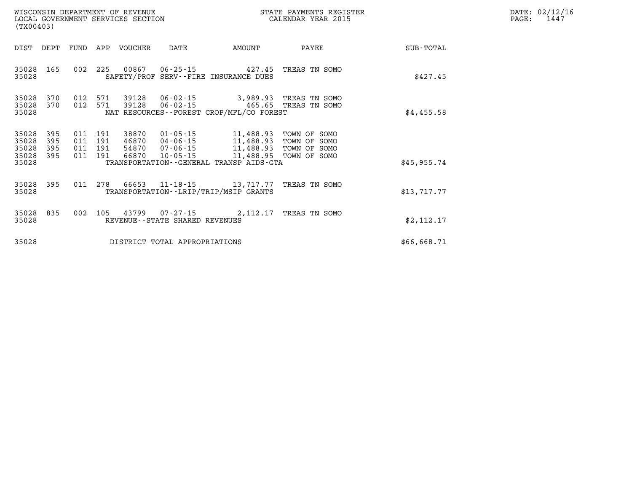| DATE: | 02/12/16 |
|-------|----------|
| PAGE: | 1447     |

|                                      | LOCAL GOVERNMENT SERVICES SECTION<br>(TX00403) |     |                                      |                  |                                |                                                                                                                                             | CALENDAR YEAR 2015     |                  | PAGE: | 1447 |
|--------------------------------------|------------------------------------------------|-----|--------------------------------------|------------------|--------------------------------|---------------------------------------------------------------------------------------------------------------------------------------------|------------------------|------------------|-------|------|
| DIST DEPT                            |                                                |     |                                      | FUND APP VOUCHER | DATE                           | AMOUNT                                                                                                                                      | PAYEE                  | <b>SUB-TOTAL</b> |       |      |
| 35028 165<br>35028                   |                                                |     | 002 225                              | 00867            |                                | 06-25-15 427.45 TREAS TN SOMO<br>SAFETY/PROF SERV--FIRE INSURANCE DUES                                                                      |                        | \$427.45         |       |      |
| 35028<br>35028<br>35028              | 370<br>370                                     | 012 |                                      | 012 571 39128    | 571 39128 06-02-15             | 06-02-15 465.65 TREAS TN SOMO<br>NAT RESOURCES - - FOREST CROP/MFL/CO FOREST                                                                | 3,989.93 TREAS TN SOMO | \$4,455.58       |       |      |
| 35028<br>35028<br>35028<br>35028 395 | 395<br>395<br>395                              | 011 | 191<br>011 191<br>011 191<br>011 191 | 38870<br>46870   | $01 - 05 - 15$                 | 11,488.93 TOWN OF SOMO<br>04-06-15 11,488.93 TOWN OF SOMO<br>54870 07-06-15 11,488.93 TOWN OF SOMO<br>66870 10-05-15 11,488.95 TOWN OF SOMO |                        |                  |       |      |
| 35028                                |                                                |     |                                      |                  |                                | TRANSPORTATION--GENERAL TRANSP AIDS-GTA                                                                                                     |                        | \$45,955.74      |       |      |
| 35028 395<br>35028                   |                                                |     | 011 278                              | 66653            |                                | 11-18-15 13, 717.77 TREAS TN SOMO<br>TRANSPORTATION - - LRIP/TRIP/MSIP GRANTS                                                               |                        | \$13,717.77      |       |      |
| 35028 835<br>35028                   |                                                |     |                                      |                  | REVENUE--STATE SHARED REVENUES | 002 105 43799 07-27-15 2,112.17 TREAS TN SOMO                                                                                               |                        | \$2, 112.17      |       |      |
| 35028                                |                                                |     |                                      |                  | DISTRICT TOTAL APPROPRIATIONS  |                                                                                                                                             |                        | \$66,668.71      |       |      |

WISCONSIN DEPARTMENT OF REVENUE **STATE PAYMENTS REGISTER**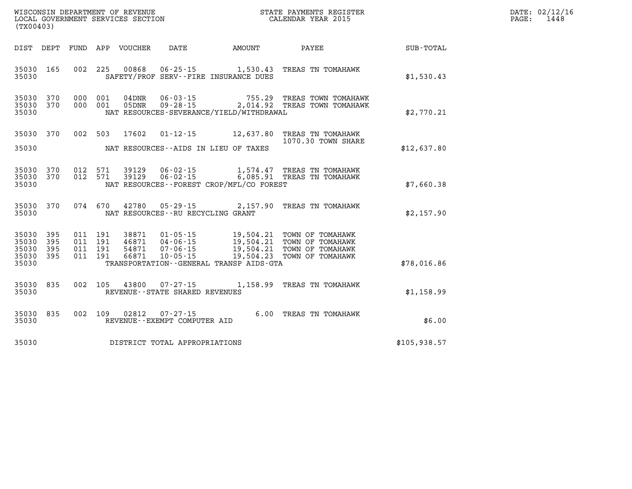| $\texttt{DATE}$ : | 02/12/16 |
|-------------------|----------|
| PAGE:             | 1448     |

| WISCONSIN DEPARTMENT OF REVENUE<br>LOCAL GOVERNMENT SERVICES SECTION<br>(TX00403) |                   |                   |                   |                         |                                                        |                                                                     | STATE PAYMENTS REGISTER<br>CALENDAR YEAR 2015            |              |  |  |  |
|-----------------------------------------------------------------------------------|-------------------|-------------------|-------------------|-------------------------|--------------------------------------------------------|---------------------------------------------------------------------|----------------------------------------------------------|--------------|--|--|--|
| DIST                                                                              | DEPT              | FUND              | APP               | VOUCHER                 | DATE                                                   | <b>EXAMPLE THE PROPERTY OF AMOUNT</b>                               | PAYEE                                                    | SUB-TOTAL    |  |  |  |
| 35030<br>35030                                                                    | 165               | 002               | 225               | 00868                   | $06 - 25 - 15$                                         | 1,530.43<br>SAFETY/PROF SERV--FIRE INSURANCE DUES                   | TREAS TN TOMAHAWK                                        | \$1,530.43   |  |  |  |
| 35030<br>35030<br>35030                                                           | 370<br>370        | 000<br>000        | 001<br>001        | 04DNR<br>05DNR          | $06 - 03 - 15$<br>$09 - 28 - 15$                       | 755.29<br>2,014.92<br>NAT RESOURCES-SEVERANCE/YIELD/WITHDRAWAL      | TREAS TOWN TOMAHAWK<br>TREAS TOWN TOMAHAWK               | \$2,770.21   |  |  |  |
| 35030                                                                             | 370               | 002               | 503               | 17602                   | $01 - 12 - 15$                                         | 12,637.80                                                           | TREAS TN TOMAHAWK<br>1070.30 TOWN SHARE                  |              |  |  |  |
| 35030                                                                             |                   |                   |                   |                         |                                                        | NAT RESOURCES--AIDS IN LIEU OF TAXES                                |                                                          | \$12,637.80  |  |  |  |
| 35030<br>35030<br>35030                                                           | 370<br>370        | 012<br>012        | 571<br>571        | 39129<br>39129          | $06 - 02 - 15$<br>$06 - 02 - 15$                       | 1,574.47<br>6,085.91<br>NAT RESOURCES - - FOREST CROP/MFL/CO FOREST | TREAS TN TOMAHAWK<br>TREAS TN TOMAHAWK                   | \$7,660.38   |  |  |  |
| 35030<br>35030                                                                    | 370               | 074               | 670               | 42780                   | $05 - 29 - 15$<br>NAT RESOURCES - - RU RECYCLING GRANT | 2,157.90                                                            | TREAS TN TOMAHAWK                                        | \$2,157.90   |  |  |  |
| 35030<br>35030<br>35030                                                           | 395<br>395<br>395 | 011<br>011<br>011 | 191<br>191<br>191 | 38871<br>46871<br>54871 | $01 - 05 - 15$<br>$04 - 06 - 15$<br>07-06-15           | 19,504.21<br>19,504.21<br>19,504.21                                 | TOWN OF TOMAHAWK<br>TOWN OF TOMAHAWK<br>TOWN OF TOMAHAWK |              |  |  |  |
| 35030<br>35030                                                                    | 395               | 011               | 191               | 66871                   | $10 - 05 - 15$                                         | 19,504.23<br>TRANSPORTATION--GENERAL TRANSP AIDS-GTA                | TOWN OF TOMAHAWK                                         | \$78,016.86  |  |  |  |
| 35030<br>35030                                                                    | 835               | 002               | 105               | 43800                   | $07 - 27 - 15$<br>REVENUE - - STATE SHARED REVENUES    | 1,158.99                                                            | TREAS TN TOMAHAWK                                        | \$1,158.99   |  |  |  |
| 35030<br>35030                                                                    | 835               | 002               | 109               | 02812                   | $07 - 27 - 15$<br>REVENUE--EXEMPT COMPUTER AID         |                                                                     | 6.00 TREAS TN TOMAHAWK                                   | \$6.00       |  |  |  |
| 35030                                                                             |                   |                   |                   |                         | DISTRICT TOTAL APPROPRIATIONS                          |                                                                     |                                                          | \$105,938.57 |  |  |  |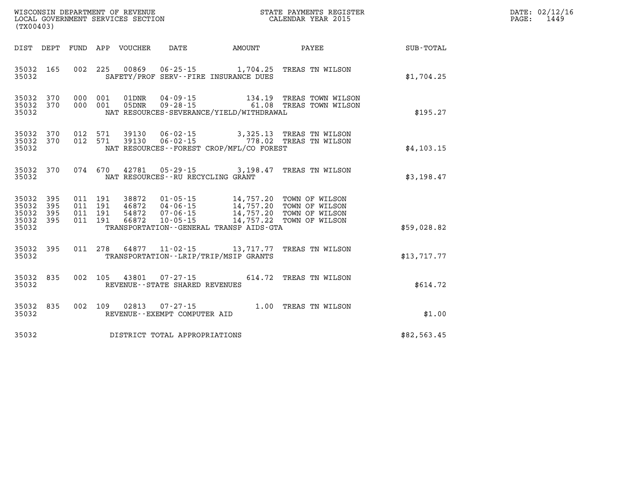| WISCONSIN DEPARTMENT OF REVENUE<br>LOCAL GOVERNMENT SERVICES SECTION<br>(TYO0403)<br>(TX00403) |                    |  |  |  |                                     |                                                |                                                                                                                                                                                                          |                                                             | DATE: 02/12/16<br>PAGE: 1449 |
|------------------------------------------------------------------------------------------------|--------------------|--|--|--|-------------------------------------|------------------------------------------------|----------------------------------------------------------------------------------------------------------------------------------------------------------------------------------------------------------|-------------------------------------------------------------|------------------------------|
|                                                                                                |                    |  |  |  |                                     |                                                |                                                                                                                                                                                                          | DIST DEPT FUND APP VOUCHER DATE AMOUNT PAYEE PATE SUB-TOTAL |                              |
| 35032                                                                                          |                    |  |  |  |                                     | SAFETY/PROF SERV--FIRE INSURANCE DUES          | 35032 165 002 225 00869 06-25-15 1,704.25 TREAS TN WILSON                                                                                                                                                | \$1,704.25                                                  |                              |
| 35032 370<br>35032 370<br>35032                                                                |                    |  |  |  |                                     | NAT RESOURCES - SEVERANCE/YIELD/WITHDRAWAL     | 000 001 01DNR 04-09-15 134.19 TREAS TOWN WILSON<br>000 001 05DNR 09-28-15 61.08 TREAS TOWN WILSON                                                                                                        | \$195.27                                                    |                              |
| 35032 370<br>35032 370<br>35032                                                                |                    |  |  |  |                                     | NAT RESOURCES - FOREST CROP/MFL/CO FOREST      | 012 571 39130 06-02-15 3,325.13 TREAS TN WILSON<br>012 571 39130 06-02-15 778.02 TREAS TN WILSON                                                                                                         | \$4, 103.15                                                 |                              |
| 35032                                                                                          |                    |  |  |  | NAT RESOURCES -- RU RECYCLING GRANT |                                                | 35032 370 074 670 42781 05-29-15 3,198.47 TREAS TN WILSON                                                                                                                                                | \$3,198.47                                                  |                              |
| 35032 395<br>35032<br>35032 395<br>35032 395<br>35032                                          | 395                |  |  |  |                                     | TRANSPORTATION - - GENERAL TRANSP AIDS - GTA   | 011 191 38872 01-05-15 14,757.20 TOWN OF WILSON<br>011 191 46872 04-06-15 14,757.20 TOWN OF WILSON<br>011 191 54872 07-06-15 14,757.20 TOWN OF WILSON<br>011 191 66872 10-05-15 14,757.22 TOWN OF WILSON | \$59,028.82                                                 |                              |
|                                                                                                |                    |  |  |  |                                     | 35032 TRANSPORTATION - - LRIP/TRIP/MSIP GRANTS | 35032 395 011 278 64877 11-02-15 13,717.77 TREAS TN WILSON                                                                                                                                               | \$13,717.77                                                 |                              |
|                                                                                                | 35032 835<br>35032 |  |  |  | REVENUE--STATE SHARED REVENUES      |                                                | 002 105 43801 07-27-15 614.72 TREAS TN WILSON                                                                                                                                                            | \$614.72                                                    |                              |
| 35032                                                                                          |                    |  |  |  | REVENUE--EXEMPT COMPUTER AID        |                                                | 35032 835 002 109 02813 07-27-15 1.00 TREAS TN WILSON<br>35032 REVENUE--EXEMPT COMPUTER AID                                                                                                              | \$1.00                                                      |                              |
|                                                                                                |                    |  |  |  | 35032 DISTRICT TOTAL APPROPRIATIONS |                                                |                                                                                                                                                                                                          | \$82,563.45                                                 |                              |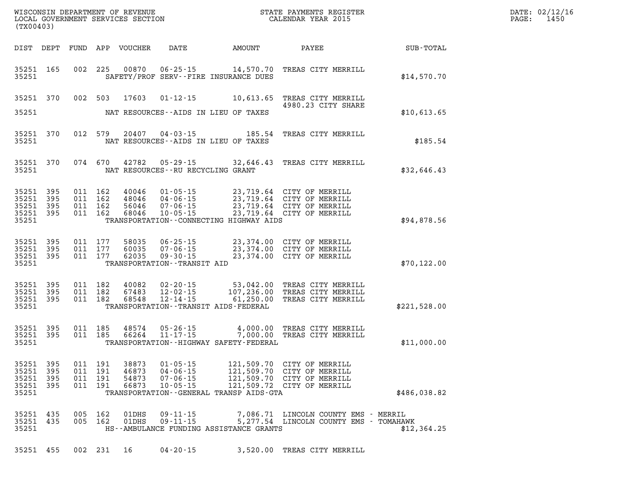| (TX00403) |                                                           |           |  |                                          |                            |                                              | STATE PAYMENTS REGISTER                     |                                                                                                                                                                              | DATE: 02/12/16<br>PAGE: 1450 |  |
|-----------|-----------------------------------------------------------|-----------|--|------------------------------------------|----------------------------|----------------------------------------------|---------------------------------------------|------------------------------------------------------------------------------------------------------------------------------------------------------------------------------|------------------------------|--|
|           |                                                           |           |  |                                          | DIST DEPT FUND APP VOUCHER |                                              |                                             | DATE AMOUNT PAYEE                                                                                                                                                            | SUB-TOTAL                    |  |
|           | 35251 165<br>35251                                        |           |  |                                          |                            |                                              | SAFETY/PROF SERV--FIRE INSURANCE DUES       | 002 225 00870 06-25-15 14,570.70 TREAS CITY MERRILL                                                                                                                          | \$14,570.70                  |  |
|           | 35251                                                     |           |  |                                          |                            |                                              | NAT RESOURCES--AIDS IN LIEU OF TAXES        | 35251 370 002 503 17603 01-12-15 10,613.65 TREAS CITY MERRILL<br>4980.23 CITY SHARE                                                                                          | \$10,613.65                  |  |
|           | 35251                                                     | 35251 370 |  |                                          |                            |                                              | NAT RESOURCES--AIDS IN LIEU OF TAXES        | 012 579 20407 04-03-15 185.54 TREAS CITY MERRILL                                                                                                                             | \$185.54                     |  |
|           | 35251                                                     | 35251 370 |  |                                          |                            | NAT RESOURCES -- RU RECYCLING GRANT          |                                             | 074 670 42782 05-29-15 32,646.43 TREAS CITY MERRILL                                                                                                                          | \$32,646.43                  |  |
|           | 35251 395<br>35251 395<br>35251 395<br>35251 395<br>35251 |           |  | 011 162<br>011 162<br>011 162<br>011 162 | 48046                      |                                              | TRANSPORTATION--CONNECTING HIGHWAY AIDS     | 40046 01-05-15 23,719.64 CITY OF MERRILL<br>48046 04-06-15 23,719.64 CITY OF MERRILL<br>56046 07-06-15 23,719.64 CITY OF MERRILL<br>68046 10-05-15 23,719.64 CITY OF MERRILL | \$94,878.56                  |  |
|           | 35251 395<br>35251 395                                    | 35251 395 |  |                                          |                            | 35251 TRANSPORTATION - TRANSIT AID           |                                             | 011 177 58035 06-25-15 23,374.00 CITY OF MERRILL<br>011 177 60035 07-06-15 23,374.00 CITY OF MERRILL<br>011 177 62035 09-30-15 23,374.00 CITY OF MERRILL                     | \$70, 122.00                 |  |
|           | 35251 395<br>35251 395<br>35251 395<br>35251              |           |  | 011 182<br>011 182<br>011 182            |                            |                                              | TRANSPORTATION - - TRANSIT AIDS - FEDERAL   | 40082  02-20-15  53,042.00 TREAS CITY MERRILL<br>67483  12-02-15  107,236.00 TREAS CITY MERRILL<br>68548  12-14-15  61,250.00 TREAS CITY MERRILL                             | \$221,528.00                 |  |
|           | 35251 395<br>35251 395<br>35251                           |           |  |                                          |                            |                                              | TRANSPORTATION - - HIGHWAY SAFETY - FEDERAL | 011 185 48574 05-26-15 4,000.00 TREAS CITY MERRILL<br>011 185 66264 11-17-15 7,000.00 TREAS CITY MERRILL                                                                     | \$11,000.00                  |  |
|           | 35251 395<br>35251 395<br>35251 395<br>35251              |           |  | 011 191<br>011 191<br>011 191            | 46873<br>54873<br>66873    | 04-06-15<br>$07 - 06 - 15$<br>$10 - 05 - 15$ | TRANSPORTATION--GENERAL TRANSP AIDS-GTA     | 35251 395 011 191 38873 01-05-15 121,509.70 CITY OF MERRILL<br>121,509.70 CITY OF MERRILL<br>121,509.70 CITY OF MERRILL<br>121,509.72 CITY OF MERRILL                        | \$486,038.82                 |  |
|           | 35251 435<br>35251 435<br>35251                           |           |  | 005 162<br>005 162                       | 01DHS<br>01DHS             | $09 - 11 - 15$<br>$09 - 11 - 15$             | HS--AMBULANCE FUNDING ASSISTANCE GRANTS     | 7,086.71 LINCOLN COUNTY EMS - MERRIL<br>5,277.54 LINCOLN COUNTY EMS - TOMAHAWK                                                                                               | \$12,364.25                  |  |
|           | 35251 455                                                 |           |  | 002 231 16                               |                            | $04 - 20 - 15$                               |                                             | 3,520.00 TREAS CITY MERRILL                                                                                                                                                  |                              |  |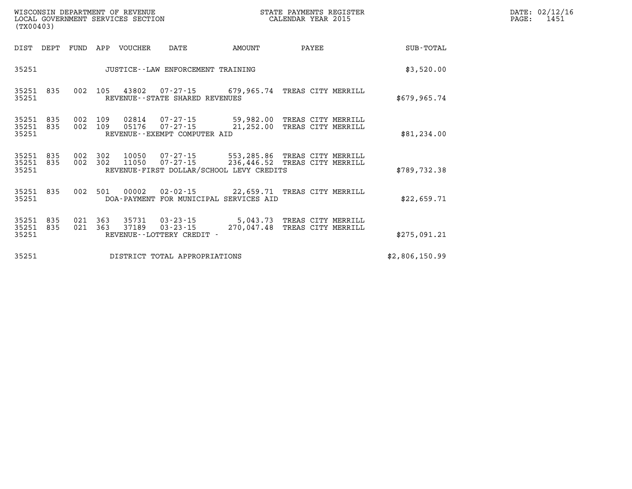| WISCONSIN DEPARTMENT OF REVENUE<br>LOCAL GOVERNMENT SERVICES SECTION<br>(TX00403) |  |                                   |                                                                                                                                                          |                               | STATE PAYMENTS REGISTER<br>CALENDAR YEAR 2015 |  | DATE: 02/12/1<br>$\mathtt{PAGE:}$<br>1451 |  |
|-----------------------------------------------------------------------------------|--|-----------------------------------|----------------------------------------------------------------------------------------------------------------------------------------------------------|-------------------------------|-----------------------------------------------|--|-------------------------------------------|--|
| DIST DEPT                                                                         |  | FUND APP VOUCHER                  | DATE                                                                                                                                                     | AMOUNT                        | PAYEE                                         |  | SUB-TOTAL                                 |  |
| 35251                                                                             |  | JUSTICE--LAW ENFORCEMENT TRAINING |                                                                                                                                                          | \$3,520.00                    |                                               |  |                                           |  |
| 35251 835<br>35251                                                                |  |                                   | 002 105 43802 07-27-15 679,965.74 TREAS CITY MERRILL<br>REVENUE--STATE SHARED REVENUES                                                                   |                               |                                               |  | \$679,965.74                              |  |
| 35251 835<br>35251 835<br>35251                                                   |  |                                   | 002 109 02814 07-27-15 59,982.00 TREAS CITY MERRILL<br>002 109 05176 07-27-15<br>REVENUE--EXEMPT COMPUTER AID                                            | 21,252.00 TREAS CITY MERRILL  |                                               |  | \$81,234.00                               |  |
| 35251 835<br>35251 835<br>35251                                                   |  |                                   | 002 302 10050 07-27-15 553,285.86 TREAS CITY MERRILL<br>002 302 11050 07-27-15 236,446.52 TREAS CITY MERRILL<br>REVENUE-FIRST DOLLAR/SCHOOL LEVY CREDITS |                               |                                               |  | \$789, 732.38                             |  |
| 35251 835<br>35251                                                                |  | 002 501 00002                     | 02-02-15 22,659.71 TREAS CITY MERRILL<br>DOA-PAYMENT FOR MUNICIPAL SERVICES AID                                                                          |                               |                                               |  | \$22,659.71                               |  |
| 35251 835<br>35251 835<br>35251                                                   |  | 021 363 37189                     | 021 363 35731 03-23-15 5,043.73 TREAS CITY MERRILL<br>$03 - 23 - 15$<br>REVENUE--LOTTERY CREDIT -                                                        | 270,047.48 TREAS CITY MERRILL |                                               |  | \$275,091.21                              |  |
| 35251                                                                             |  |                                   | DISTRICT TOTAL APPROPRIATIONS                                                                                                                            |                               |                                               |  | \$2,806,150.99                            |  |

**DATE: 02/12/16<br>PAGE: 1451**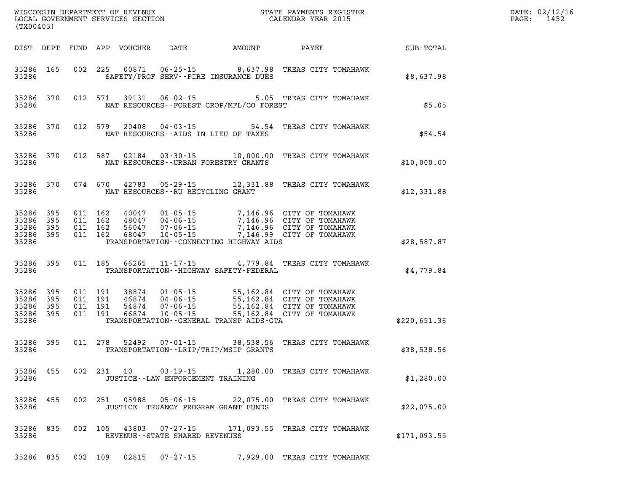| WISCONSIN DEPARTMENT OF REVENUE<br>LOCAL GOVERNMENT SERVICES SECTION<br>(TYAOAA2)<br>(TX00403) |           |                                          |         |                            |                                           |                                             |                                                                                                                                                                                              |              | DATE: 02/12/16<br>$\mathtt{PAGE}$ :<br>1452 |
|------------------------------------------------------------------------------------------------|-----------|------------------------------------------|---------|----------------------------|-------------------------------------------|---------------------------------------------|----------------------------------------------------------------------------------------------------------------------------------------------------------------------------------------------|--------------|---------------------------------------------|
|                                                                                                |           |                                          |         | DIST DEPT FUND APP VOUCHER | DATE                                      | AMOUNT                                      | PAYEE                                                                                                                                                                                        | SUB-TOTAL    |                                             |
| 35286 165<br>35286                                                                             |           |                                          | 002 225 |                            | SAFETY/PROF SERV--FIRE INSURANCE DUES     |                                             | 00871  06-25-15  8,637.98  TREAS CITY TOMAHAWK                                                                                                                                               | \$8,637.98   |                                             |
| 35286                                                                                          | 35286 370 |                                          | 012 571 |                            |                                           | NAT RESOURCES - - FOREST CROP/MFL/CO FOREST | 39131  06-02-15  5.05  TREAS CITY TOMAHAWK                                                                                                                                                   | \$5.05       |                                             |
| 35286                                                                                          | 35286 370 |                                          | 012 579 | 20408                      | NAT RESOURCES--AIDS IN LIEU OF TAXES      |                                             | 04-03-15 54.54 TREAS CITY TOMAHAWK                                                                                                                                                           | \$54.54      |                                             |
| 35286                                                                                          | 35286 370 |                                          | 012 587 |                            | NAT RESOURCES--URBAN FORESTRY GRANTS      |                                             | 02184  03-30-15  10,000.00 TREAS CITY TOMAHAWK                                                                                                                                               | \$10,000.00  |                                             |
| 35286                                                                                          | 35286 370 |                                          | 074 670 |                            | NAT RESOURCES -- RU RECYCLING GRANT       |                                             | 42783 05-29-15 12,331.88 TREAS CITY TOMAHAWK                                                                                                                                                 | \$12,331.88  |                                             |
| 35286 395<br>35286<br>35286 395<br>35286 395<br>35286                                          | 395       | 011 162<br>011 162<br>011 162<br>011 162 |         |                            |                                           | TRANSPORTATION -- CONNECTING HIGHWAY AIDS   | 40047 01-05-15 7,146.96 CITY OF TOMAHAWK<br>48047 04-06-15 7,146.96 CITY OF TOMAHAWK<br>56047 07-06-15 7,146.96 CITY OF TOMAHAWK<br>68047 10-05-15 7,146.99 CITY OF TOMAHAWK                 | \$28,587.87  |                                             |
| 35286 395<br>35286                                                                             |           | 011 185                                  |         | 66265                      | $11 - 17 - 15$                            | TRANSPORTATION - - HIGHWAY SAFETY - FEDERAL | 4,779.84 TREAS CITY TOMAHAWK                                                                                                                                                                 | \$4,779.84   |                                             |
| 35286 395<br>35286<br>35286 395<br>35286 395<br>35286                                          | 395       | 011 191<br>011 191<br>011 191<br>011 191 |         |                            |                                           | TRANSPORTATION--GENERAL TRANSP AIDS-GTA     | 38874  01-05-15  55,162.84  CITY OF TOMAHAWK<br>46874  04-06-15  55,162.84  CITY OF TOMAHAWK<br>54874  07-06-15  55,162.84  CITY OF TOMAHAWK<br>66874  10-05-15  55,162.84  CITY OF TOMAHAWK | \$220,651.36 |                                             |
| 35286                                                                                          | 35286 395 |                                          | 011 278 |                            | TRANSPORTATION - - LRIP/TRIP/MSIP GRANTS  |                                             | 52492  07-01-15  38,538.56  TREAS CITY TOMAHAWK                                                                                                                                              | \$38,538.56  |                                             |
| 35286 455<br>35286                                                                             |           |                                          |         | 002 231 10                 | JUSTICE - - LAW ENFORCEMENT TRAINING      |                                             | 03-19-15 1,280.00 TREAS CITY TOMAHAWK                                                                                                                                                        | \$1,280.00   |                                             |
| 35286 455<br>35286                                                                             |           |                                          |         |                            | JUSTICE - - TRUANCY PROGRAM - GRANT FUNDS |                                             | 002 251 05988 05-06-15 22,075.00 TREAS CITY TOMAHAWK                                                                                                                                         | \$22,075.00  |                                             |
| 35286 835<br>35286                                                                             |           |                                          |         |                            | REVENUE - - STATE SHARED REVENUES         |                                             | 002 105 43803 07-27-15 171,093.55 TREAS CITY TOMAHAWK                                                                                                                                        | \$171,093.55 |                                             |
| 35286 835                                                                                      |           | 002 109                                  |         | 02815                      | $07 - 27 - 15$                            |                                             | 7,929.00 TREAS CITY TOMAHAWK                                                                                                                                                                 |              |                                             |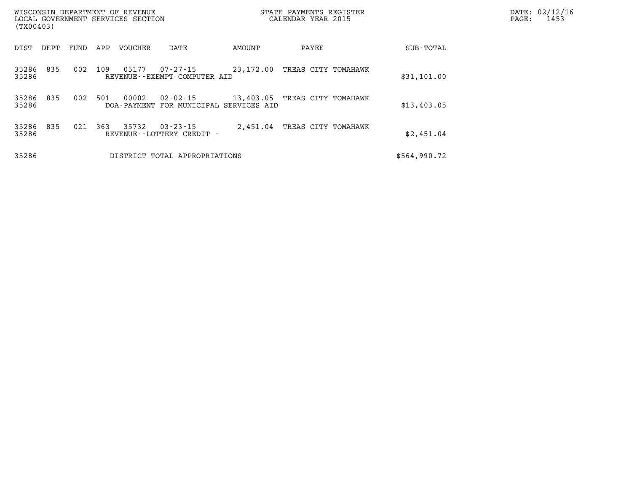| WISCONSIN DEPARTMENT OF REVENUE<br>LOCAL GOVERNMENT SERVICES SECTION<br>(TX00403) |                               |      |     |                        | STATE PAYMENTS REGISTER<br>CALENDAR YEAR 2015 |           |  |       |                     | DATE: 02/12/16<br>PAGE: | 1453 |  |
|-----------------------------------------------------------------------------------|-------------------------------|------|-----|------------------------|-----------------------------------------------|-----------|--|-------|---------------------|-------------------------|------|--|
| DIST                                                                              | DEPT                          | FUND | APP | <b>VOUCHER</b>         | DATE                                          | AMOUNT    |  | PAYEE |                     | SUB-TOTAL               |      |  |
| 35286<br>35286                                                                    | 835                           | 002  | 109 | 05177                  | 07-27-15<br>REVENUE--EXEMPT COMPUTER AID      | 23,172.00 |  |       | TREAS CITY TOMAHAWK | \$31,101.00             |      |  |
| 35286<br>35286                                                                    | 835                           | 002  | 501 | 00002<br>DOA - PAYMENT | $02 - 02 - 15$<br>FOR MUNICIPAL SERVICES AID  | 13,403.05 |  |       | TREAS CITY TOMAHAWK | \$13,403.05             |      |  |
| 35286<br>35286                                                                    | 835                           | 021  | 363 | 35732                  | $03 - 23 - 15$<br>REVENUE--LOTTERY CREDIT -   | 2,451.04  |  |       | TREAS CITY TOMAHAWK | \$2,451.04              |      |  |
| 35286                                                                             | DISTRICT TOTAL APPROPRIATIONS |      |     |                        |                                               |           |  |       | \$564,990.72        |                         |      |  |